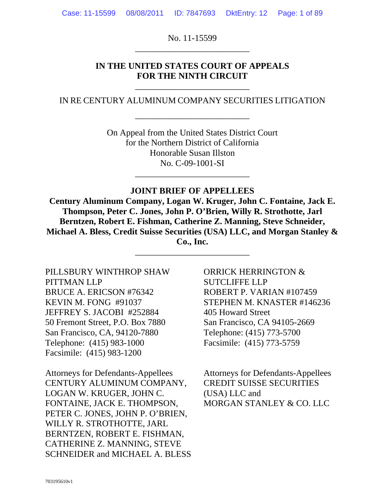No. 11-15599 \_\_\_\_\_\_\_\_\_\_\_\_\_\_\_\_\_\_\_\_\_\_\_\_\_\_

## **IN THE UNITED STATES COURT OF APPEALS FOR THE NINTH CIRCUIT**

IN RE CENTURY ALUMINUM COMPANY SECURITIES LITIGATION

\_\_\_\_\_\_\_\_\_\_\_\_\_\_\_\_\_\_\_\_\_\_\_\_\_\_

\_\_\_\_\_\_\_\_\_\_\_\_\_\_\_\_\_\_\_\_\_\_\_\_\_\_

On Appeal from the United States District Court for the Northern District of California Honorable Susan Illston No. C-09-1001-SI

## **JOINT BRIEF OF APPELLEES**

\_\_\_\_\_\_\_\_\_\_\_\_\_\_\_\_\_\_\_\_\_\_\_\_\_\_

**Century Aluminum Company, Logan W. Kruger, John C. Fontaine, Jack E. Thompson, Peter C. Jones, John P. O'Brien, Willy R. Strothotte, Jarl Berntzen, Robert E. Fishman, Catherine Z. Manning, Steve Schneider, Michael A. Bless, Credit Suisse Securities (USA) LLC, and Morgan Stanley & Co., Inc.** 

\_\_\_\_\_\_\_\_\_\_\_\_\_\_\_\_\_\_\_\_\_\_\_\_\_\_

PILLSBURY WINTHROP SHAW PITTMAN LLP BRUCE A. ERICSON #76342 KEVIN M. FONG #91037 JEFFREY S. JACOBI #252884 50 Fremont Street, P.O. Box 7880 San Francisco, CA, 94120-7880 Telephone: (415) 983-1000 Facsimile: (415) 983-1200

Attorneys for Defendants-Appellees CENTURY ALUMINUM COMPANY, LOGAN W. KRUGER, JOHN C. FONTAINE, JACK E. THOMPSON, PETER C. JONES, JOHN P. O'BRIEN, WILLY R. STROTHOTTE, JARL BERNTZEN, ROBERT E. FISHMAN, CATHERINE Z. MANNING, STEVE SCHNEIDER and MICHAEL A. BLESS ORRICK HERRINGTON & SUTCLIFFE LLP ROBERT P. VARIAN #107459 STEPHEN M. KNASTER #146236 405 Howard Street San Francisco, CA 94105-2669 Telephone: (415) 773-5700 Facsimile: (415) 773-5759

Attorneys for Defendants-Appellees CREDIT SUISSE SECURITIES (USA) LLC and MORGAN STANLEY & CO. LLC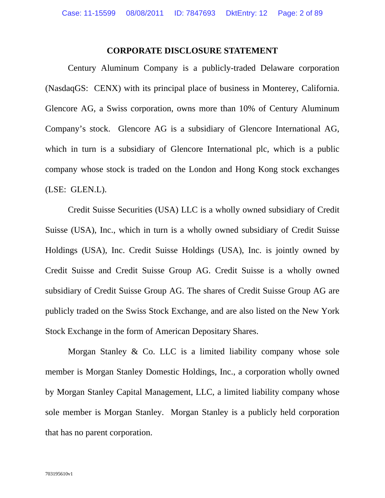#### **CORPORATE DISCLOSURE STATEMENT**

Century Aluminum Company is a publicly-traded Delaware corporation (NasdaqGS: CENX) with its principal place of business in Monterey, California. Glencore AG, a Swiss corporation, owns more than 10% of Century Aluminum Company's stock. Glencore AG is a subsidiary of Glencore International AG, which in turn is a subsidiary of Glencore International plc, which is a public company whose stock is traded on the London and Hong Kong stock exchanges (LSE: GLEN.L).

Credit Suisse Securities (USA) LLC is a wholly owned subsidiary of Credit Suisse (USA), Inc., which in turn is a wholly owned subsidiary of Credit Suisse Holdings (USA), Inc. Credit Suisse Holdings (USA), Inc. is jointly owned by Credit Suisse and Credit Suisse Group AG. Credit Suisse is a wholly owned subsidiary of Credit Suisse Group AG. The shares of Credit Suisse Group AG are publicly traded on the Swiss Stock Exchange, and are also listed on the New York Stock Exchange in the form of American Depositary Shares.

Morgan Stanley & Co. LLC is a limited liability company whose sole member is Morgan Stanley Domestic Holdings, Inc., a corporation wholly owned by Morgan Stanley Capital Management, LLC, a limited liability company whose sole member is Morgan Stanley. Morgan Stanley is a publicly held corporation that has no parent corporation.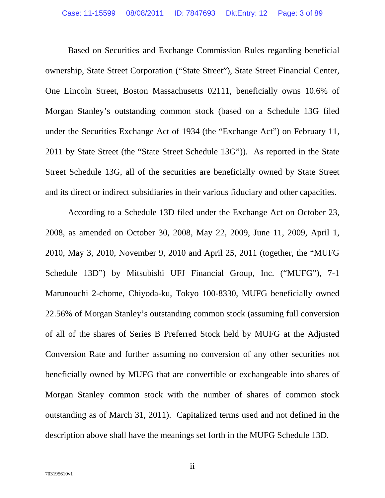Based on Securities and Exchange Commission Rules regarding beneficial ownership, State Street Corporation ("State Street"), State Street Financial Center, One Lincoln Street, Boston Massachusetts 02111, beneficially owns 10.6% of Morgan Stanley's outstanding common stock (based on a Schedule 13G filed under the Securities Exchange Act of 1934 (the "Exchange Act") on February 11, 2011 by State Street (the "State Street Schedule 13G")). As reported in the State Street Schedule 13G, all of the securities are beneficially owned by State Street and its direct or indirect subsidiaries in their various fiduciary and other capacities.

According to a Schedule 13D filed under the Exchange Act on October 23, 2008, as amended on October 30, 2008, May 22, 2009, June 11, 2009, April 1, 2010, May 3, 2010, November 9, 2010 and April 25, 2011 (together, the "MUFG Schedule 13D") by Mitsubishi UFJ Financial Group, Inc. ("MUFG"), 7-1 Marunouchi 2-chome, Chiyoda-ku, Tokyo 100-8330, MUFG beneficially owned 22.56% of Morgan Stanley's outstanding common stock (assuming full conversion of all of the shares of Series B Preferred Stock held by MUFG at the Adjusted Conversion Rate and further assuming no conversion of any other securities not beneficially owned by MUFG that are convertible or exchangeable into shares of Morgan Stanley common stock with the number of shares of common stock outstanding as of March 31, 2011). Capitalized terms used and not defined in the description above shall have the meanings set forth in the MUFG Schedule 13D.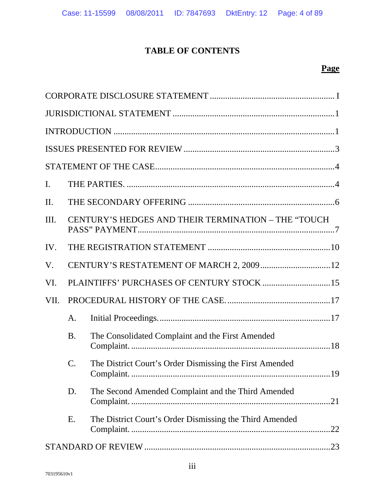# **TABLE OF CONTENTS**

# **Page**

| I.      |                                                     |                                                         |  |  |
|---------|-----------------------------------------------------|---------------------------------------------------------|--|--|
| $\Pi$ . |                                                     |                                                         |  |  |
| III.    | CENTURY'S HEDGES AND THEIR TERMINATION - THE "TOUCH |                                                         |  |  |
| IV.     |                                                     |                                                         |  |  |
| V.      |                                                     |                                                         |  |  |
| VI.     |                                                     |                                                         |  |  |
| VII.    |                                                     |                                                         |  |  |
|         | A.                                                  |                                                         |  |  |
|         | <b>B.</b>                                           | The Consolidated Complaint and the First Amended        |  |  |
|         | $\mathsf{C}.$                                       | The District Court's Order Dismissing the First Amended |  |  |
|         | D.                                                  | The Second Amended Complaint and the Third Amended      |  |  |
|         | E.                                                  | The District Court's Order Dismissing the Third Amended |  |  |
|         |                                                     |                                                         |  |  |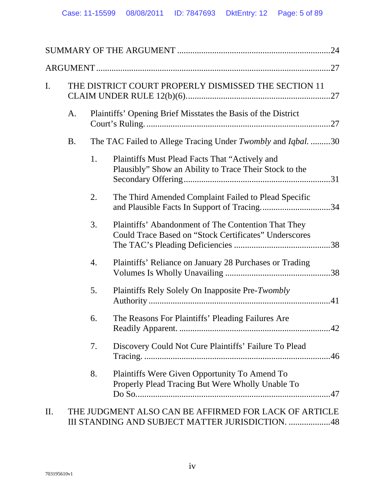| $\mathbf{I}$ . |           |    | THE DISTRICT COURT PROPERLY DISMISSED THE SECTION 11                                                         |  |
|----------------|-----------|----|--------------------------------------------------------------------------------------------------------------|--|
|                | A.        |    | Plaintiffs' Opening Brief Misstates the Basis of the District                                                |  |
|                | <b>B.</b> |    | The TAC Failed to Allege Tracing Under Twombly and Iqbal. 30                                                 |  |
|                |           | 1. | Plaintiffs Must Plead Facts That "Actively and<br>Plausibly" Show an Ability to Trace Their Stock to the     |  |
|                |           | 2. | The Third Amended Complaint Failed to Plead Specific<br>and Plausible Facts In Support of Tracing34          |  |
|                |           | 3. | Plaintiffs' Abandonment of The Contention That They<br>Could Trace Based on "Stock Certificates" Underscores |  |
|                |           | 4. | Plaintiffs' Reliance on January 28 Purchases or Trading                                                      |  |
|                |           | 5. | Plaintiffs Rely Solely On Inapposite Pre-Twombly                                                             |  |
|                |           | 6. | The Reasons For Plaintiffs' Pleading Failures Are                                                            |  |
|                |           | 7. | Discovery Could Not Cure Plaintiffs' Failure To Plead                                                        |  |
|                |           | 8. | Plaintiffs Were Given Opportunity To Amend To<br>Properly Plead Tracing But Were Wholly Unable To            |  |
| II.            |           |    | THE JUDGMENT ALSO CAN BE AFFIRMED FOR LACK OF ARTICLE<br>III STANDING AND SUBJECT MATTER JURISDICTION.  48   |  |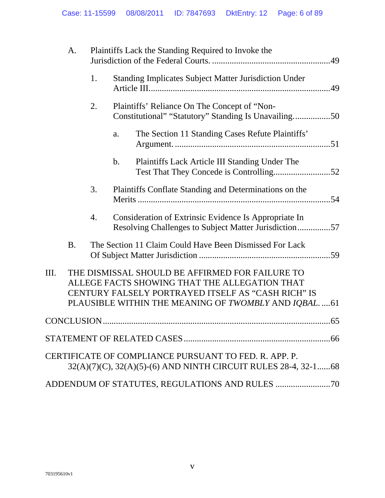|    | A.        |    | Plaintiffs Lack the Standing Required to Invoke the                                                                                                                                                           |  |  |  |  |
|----|-----------|----|---------------------------------------------------------------------------------------------------------------------------------------------------------------------------------------------------------------|--|--|--|--|
|    |           | 1. | <b>Standing Implicates Subject Matter Jurisdiction Under</b>                                                                                                                                                  |  |  |  |  |
|    |           | 2. | Plaintiffs' Reliance On The Concept of "Non-<br>Constitutional" "Statutory" Standing Is Unavailing50                                                                                                          |  |  |  |  |
|    |           |    | The Section 11 Standing Cases Refute Plaintiffs'<br>a.                                                                                                                                                        |  |  |  |  |
|    |           |    | Plaintiffs Lack Article III Standing Under The<br>$\mathbf b$ .                                                                                                                                               |  |  |  |  |
|    |           | 3. | Plaintiffs Conflate Standing and Determinations on the                                                                                                                                                        |  |  |  |  |
|    |           | 4. | Consideration of Extrinsic Evidence Is Appropriate In<br>Resolving Challenges to Subject Matter Jurisdiction57                                                                                                |  |  |  |  |
|    | <b>B.</b> |    | The Section 11 Claim Could Have Been Dismissed For Lack                                                                                                                                                       |  |  |  |  |
| Ш. |           |    | THE DISMISSAL SHOULD BE AFFIRMED FOR FAILURE TO<br>ALLEGE FACTS SHOWING THAT THE ALLEGATION THAT<br>CENTURY FALSELY PORTRAYED ITSELF AS "CASH RICH" IS<br>PLAUSIBLE WITHIN THE MEANING OF TWOMBLY AND IQBAL61 |  |  |  |  |
|    |           |    |                                                                                                                                                                                                               |  |  |  |  |
|    |           |    |                                                                                                                                                                                                               |  |  |  |  |
|    |           |    | CERTIFICATE OF COMPLIANCE PURSUANT TO FED. R. APP. P.<br>32(A)(7)(C), 32(A)(5)-(6) AND NINTH CIRCUIT RULES 28-4, 32-168                                                                                       |  |  |  |  |
|    |           |    |                                                                                                                                                                                                               |  |  |  |  |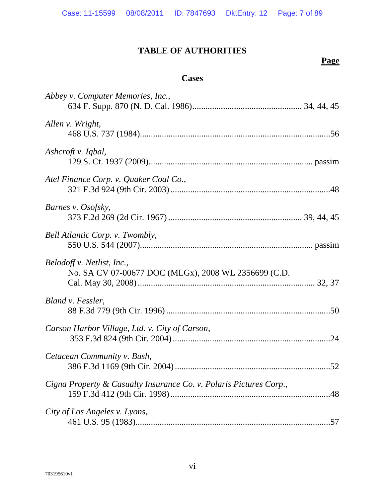# **TABLE OF AUTHORITIES**

# **Page**

# **Cases**

| Abbey v. Computer Memories, Inc.,                                                  |
|------------------------------------------------------------------------------------|
| Allen v. Wright,                                                                   |
| Ashcroft v. Iqbal,                                                                 |
| Atel Finance Corp. v. Quaker Coal Co.,                                             |
| Barnes v. Osofsky,                                                                 |
| <b>Bell Atlantic Corp. v. Twombly,</b>                                             |
| Belodoff v. Netlist, Inc.,<br>No. SA CV 07-00677 DOC (MLGx), 2008 WL 2356699 (C.D. |
| Bland v. Fessler,                                                                  |
| Carson Harbor Village, Ltd. v. City of Carson,                                     |
| Cetacean Community v. Bush,                                                        |
| Cigna Property & Casualty Insurance Co. v. Polaris Pictures Corp.,                 |
| City of Los Angeles v. Lyons,                                                      |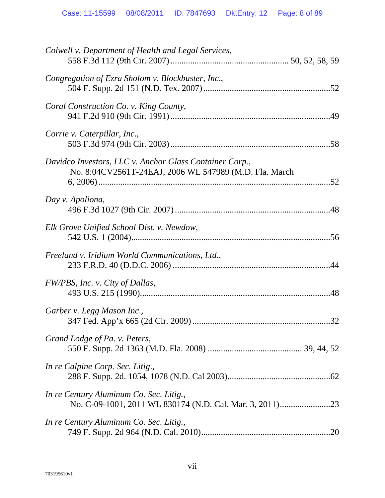| Colwell v. Department of Health and Legal Services,                                                               |
|-------------------------------------------------------------------------------------------------------------------|
| Congregation of Ezra Sholom v. Blockbuster, Inc.,                                                                 |
| Coral Construction Co. v. King County,                                                                            |
| Corrie v. Caterpillar, Inc.,                                                                                      |
| Davidco Investors, LLC v. Anchor Glass Container Corp.,<br>No. 8:04CV2561T-24EAJ, 2006 WL 547989 (M.D. Fla. March |
| Day v. Apoliona,                                                                                                  |
| Elk Grove Unified School Dist. v. Newdow,                                                                         |
| Freeland v. Iridium World Communications, Ltd.,                                                                   |
| FW/PBS, Inc. v. City of Dallas,                                                                                   |
| Garber v. Legg Mason Inc.,                                                                                        |
| Grand Lodge of Pa. v. Peters,                                                                                     |
| In re Calpine Corp. Sec. Litig.,                                                                                  |
| In re Century Aluminum Co. Sec. Litig.,                                                                           |
| In re Century Aluminum Co. Sec. Litig.,                                                                           |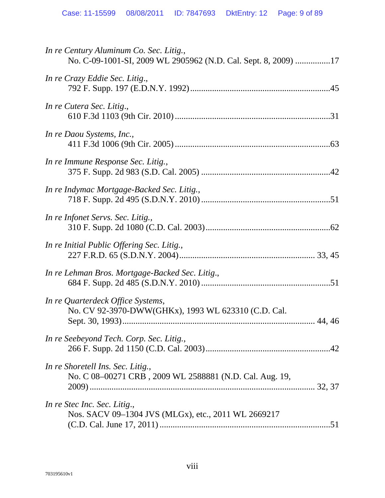| In re Century Aluminum Co. Sec. Litig.,<br>No. C-09-1001-SI, 2009 WL 2905962 (N.D. Cal. Sept. 8, 2009) 17 |  |
|-----------------------------------------------------------------------------------------------------------|--|
| In re Crazy Eddie Sec. Litig.,                                                                            |  |
| In re Cutera Sec. Litig.,                                                                                 |  |
| In re Daou Systems, Inc.,                                                                                 |  |
| In re Immune Response Sec. Litig.,                                                                        |  |
| In re Indymac Mortgage-Backed Sec. Litig.,                                                                |  |
| In re Infonet Servs. Sec. Litig.,                                                                         |  |
| In re Initial Public Offering Sec. Litig.,                                                                |  |
| In re Lehman Bros. Mortgage-Backed Sec. Litig.,                                                           |  |
| In re Quarterdeck Office Systems,<br>No. CV 92-3970-DWW(GHKx), 1993 WL 623310 (C.D. Cal.                  |  |
| In re Seebeyond Tech. Corp. Sec. Litig.,                                                                  |  |
| In re Shoretell Ins. Sec. Litig.,<br>No. C 08-00271 CRB, 2009 WL 2588881 (N.D. Cal. Aug. 19,              |  |
| In re Stec Inc. Sec. Litig.,<br>Nos. SACV 09–1304 JVS (MLGx), etc., 2011 WL 2669217                       |  |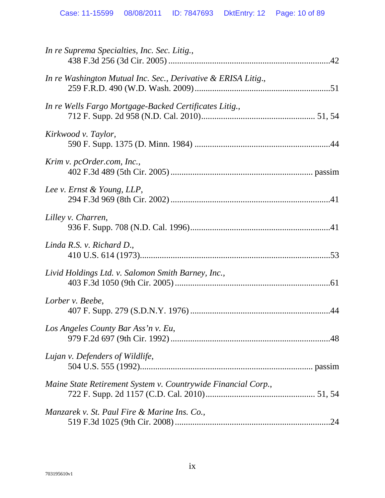| In re Suprema Specialties, Inc. Sec. Litig.,                  |
|---------------------------------------------------------------|
| In re Washington Mutual Inc. Sec., Derivative & ERISA Litig., |
| In re Wells Fargo Mortgage-Backed Certificates Litig.,        |
| Kirkwood v. Taylor,                                           |
| Krim v. pcOrder.com, Inc.,                                    |
| Lee v. Ernst & Young, LLP,                                    |
| Lilley v. Charren,                                            |
| Linda R.S. v. Richard D.,                                     |
| Livid Holdings Ltd. v. Salomon Smith Barney, Inc.,            |
| Lorber v. Beebe,                                              |
| Los Angeles County Bar Ass'n v. Eu,                           |
| Lujan v. Defenders of Wildlife,                               |
| Maine State Retirement System v. Countrywide Financial Corp., |
| Manzarek v. St. Paul Fire & Marine Ins. Co.,                  |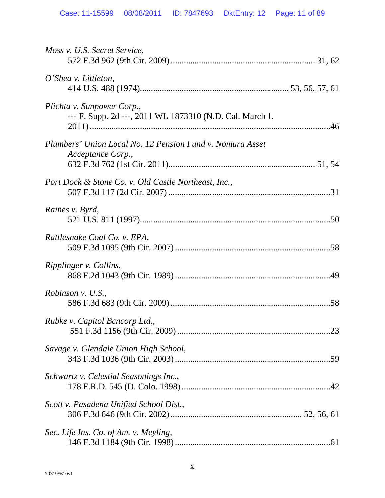| Moss v. U.S. Secret Service,                                                           |
|----------------------------------------------------------------------------------------|
| $O'$ Shea v. Littleton,                                                                |
| Plichta v. Sunpower Corp.,<br>--- F. Supp. 2d ---, 2011 WL 1873310 (N.D. Cal. March 1, |
| Plumbers' Union Local No. 12 Pension Fund v. Nomura Asset<br>Acceptance Corp.,         |
| Port Dock & Stone Co. v. Old Castle Northeast, Inc.,                                   |
| Raines v. Byrd,                                                                        |
| Rattlesnake Coal Co. v. EPA,                                                           |
| Ripplinger v. Collins,                                                                 |
| Robinson v. U.S.,                                                                      |
| Rubke v. Capitol Bancorp Ltd.,                                                         |
| Savage v. Glendale Union High School,                                                  |
| Schwartz v. Celestial Seasonings Inc.,                                                 |
| Scott v. Pasadena Unified School Dist.,                                                |
| Sec. Life Ins. Co. of Am. v. Meyling,                                                  |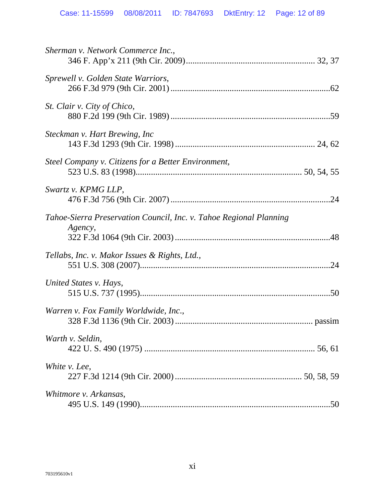| Sherman v. Network Commerce Inc.,                                             |
|-------------------------------------------------------------------------------|
| Sprewell v. Golden State Warriors,                                            |
| St. Clair v. City of Chico,                                                   |
| Steckman v. Hart Brewing, Inc.                                                |
| Steel Company v. Citizens for a Better Environment,                           |
| Swartz v. KPMG LLP,                                                           |
| Tahoe-Sierra Preservation Council, Inc. v. Tahoe Regional Planning<br>Agency, |
| Tellabs, Inc. v. Makor Issues & Rights, Ltd.,                                 |
| United States v. Hays,                                                        |
| Warren v. Fox Family Worldwide, Inc.,                                         |
| Warth v. Seldin,                                                              |
| White v. Lee,                                                                 |
| Whitmore v. Arkansas,<br>.50                                                  |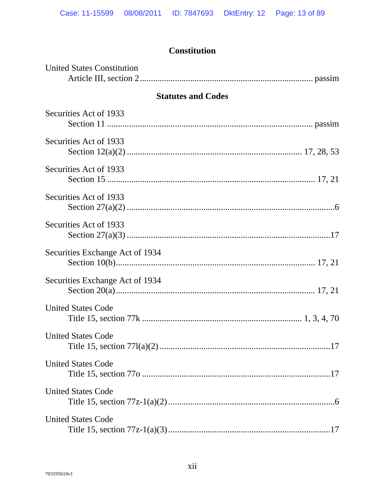# **Constitution**

| <b>United States Constitution</b> |
|-----------------------------------|
| <b>Statutes and Codes</b>         |
| Securities Act of 1933            |
| Securities Act of 1933            |
| Securities Act of 1933            |
| Securities Act of 1933            |
| Securities Act of 1933            |
| Securities Exchange Act of 1934   |
| Securities Exchange Act of 1934   |
| <b>United States Code</b>         |
| <b>United States Code</b>         |
| <b>United States Code</b>         |
| <b>United States Code</b>         |
| <b>United States Code</b>         |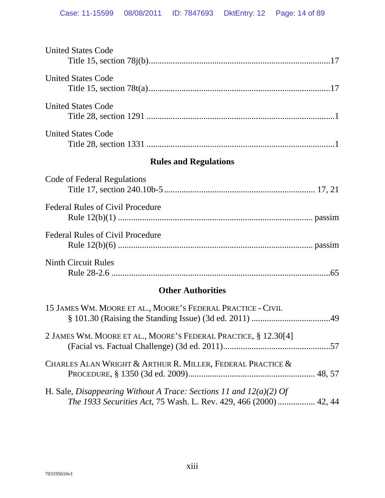| <b>United States Code</b>                                                                                                                 |
|-------------------------------------------------------------------------------------------------------------------------------------------|
| <b>United States Code</b>                                                                                                                 |
| <b>United States Code</b>                                                                                                                 |
| <b>United States Code</b>                                                                                                                 |
| <b>Rules and Regulations</b>                                                                                                              |
| Code of Federal Regulations                                                                                                               |
| <b>Federal Rules of Civil Procedure</b>                                                                                                   |
| <b>Federal Rules of Civil Procedure</b>                                                                                                   |
| <b>Ninth Circuit Rules</b>                                                                                                                |
| <b>Other Authorities</b>                                                                                                                  |
| 15 JAMES WM. MOORE ET AL., MOORE'S FEDERAL PRACTICE - CIVIL                                                                               |
| 2 JAMES WM. MOORE ET AL., MOORE'S FEDERAL PRACTICE, § 12.30[4]                                                                            |
| CHARLES ALAN WRIGHT & ARTHUR R. MILLER, FEDERAL PRACTICE &                                                                                |
| H. Sale, Disappearing Without A Trace: Sections 11 and $12(a)(2)$ Of<br>The 1933 Securities Act, 75 Wash. L. Rev. 429, 466 (2000)  42, 44 |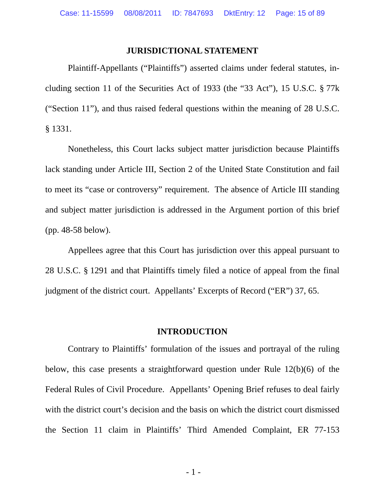#### **JURISDICTIONAL STATEMENT**

Plaintiff-Appellants ("Plaintiffs") asserted claims under federal statutes, including section 11 of the Securities Act of 1933 (the "33 Act"), 15 U.S.C. § 77k ("Section 11"), and thus raised federal questions within the meaning of 28 U.S.C. § 1331.

Nonetheless, this Court lacks subject matter jurisdiction because Plaintiffs lack standing under Article III, Section 2 of the United State Constitution and fail to meet its "case or controversy" requirement. The absence of Article III standing and subject matter jurisdiction is addressed in the Argument portion of this brief (pp. 48-58 below).

Appellees agree that this Court has jurisdiction over this appeal pursuant to 28 U.S.C. § 1291 and that Plaintiffs timely filed a notice of appeal from the final judgment of the district court. Appellants' Excerpts of Record ("ER") 37, 65.

#### **INTRODUCTION**

Contrary to Plaintiffs' formulation of the issues and portrayal of the ruling below, this case presents a straightforward question under Rule 12(b)(6) of the Federal Rules of Civil Procedure. Appellants' Opening Brief refuses to deal fairly with the district court's decision and the basis on which the district court dismissed the Section 11 claim in Plaintiffs' Third Amended Complaint, ER 77-153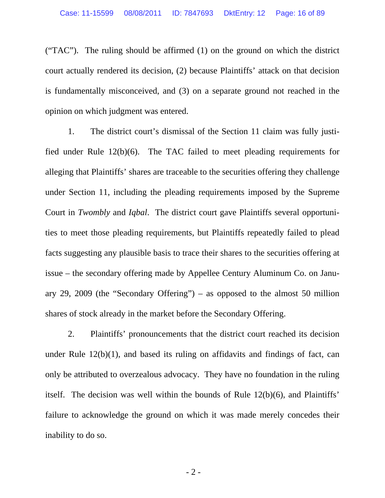("TAC"). The ruling should be affirmed (1) on the ground on which the district court actually rendered its decision, (2) because Plaintiffs' attack on that decision is fundamentally misconceived, and (3) on a separate ground not reached in the opinion on which judgment was entered.

1. The district court's dismissal of the Section 11 claim was fully justified under Rule 12(b)(6). The TAC failed to meet pleading requirements for alleging that Plaintiffs' shares are traceable to the securities offering they challenge under Section 11, including the pleading requirements imposed by the Supreme Court in *Twombly* and *Iqbal*. The district court gave Plaintiffs several opportunities to meet those pleading requirements, but Plaintiffs repeatedly failed to plead facts suggesting any plausible basis to trace their shares to the securities offering at issue – the secondary offering made by Appellee Century Aluminum Co. on January 29, 2009 (the "Secondary Offering") – as opposed to the almost 50 million shares of stock already in the market before the Secondary Offering.

2. Plaintiffs' pronouncements that the district court reached its decision under Rule 12(b)(1), and based its ruling on affidavits and findings of fact, can only be attributed to overzealous advocacy. They have no foundation in the ruling itself. The decision was well within the bounds of Rule 12(b)(6), and Plaintiffs' failure to acknowledge the ground on which it was made merely concedes their inability to do so.

- 2 -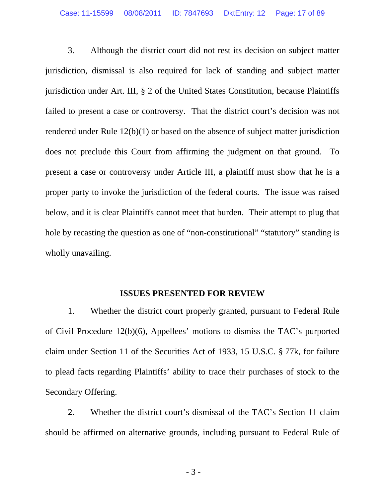3. Although the district court did not rest its decision on subject matter jurisdiction, dismissal is also required for lack of standing and subject matter jurisdiction under Art. III, § 2 of the United States Constitution, because Plaintiffs failed to present a case or controversy. That the district court's decision was not rendered under Rule 12(b)(1) or based on the absence of subject matter jurisdiction does not preclude this Court from affirming the judgment on that ground. To present a case or controversy under Article III, a plaintiff must show that he is a proper party to invoke the jurisdiction of the federal courts. The issue was raised below, and it is clear Plaintiffs cannot meet that burden. Their attempt to plug that hole by recasting the question as one of "non-constitutional" "statutory" standing is wholly unavailing.

#### **ISSUES PRESENTED FOR REVIEW**

1. Whether the district court properly granted, pursuant to Federal Rule of Civil Procedure 12(b)(6), Appellees' motions to dismiss the TAC's purported claim under Section 11 of the Securities Act of 1933, 15 U.S.C. § 77k, for failure to plead facts regarding Plaintiffs' ability to trace their purchases of stock to the Secondary Offering.

2. Whether the district court's dismissal of the TAC's Section 11 claim should be affirmed on alternative grounds, including pursuant to Federal Rule of

- 3 -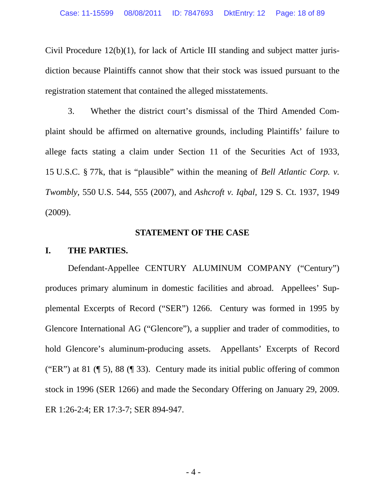Civil Procedure 12(b)(1), for lack of Article III standing and subject matter jurisdiction because Plaintiffs cannot show that their stock was issued pursuant to the registration statement that contained the alleged misstatements.

3. Whether the district court's dismissal of the Third Amended Complaint should be affirmed on alternative grounds, including Plaintiffs' failure to allege facts stating a claim under Section 11 of the Securities Act of 1933, 15 U.S.C. § 77k, that is "plausible" within the meaning of *Bell Atlantic Corp. v. Twombly,* 550 U.S. 544, 555 (2007), and *Ashcroft v. Iqbal,* 129 S. Ct. 1937, 1949 (2009).

## **STATEMENT OF THE CASE**

## **I. THE PARTIES.**

Defendant-Appellee CENTURY ALUMINUM COMPANY ("Century") produces primary aluminum in domestic facilities and abroad. Appellees' Supplemental Excerpts of Record ("SER") 1266. Century was formed in 1995 by Glencore International AG ("Glencore"), a supplier and trader of commodities, to hold Glencore's aluminum-producing assets. Appellants' Excerpts of Record ("ER") at 81 (¶ 5), 88 (¶ 33). Century made its initial public offering of common stock in 1996 (SER 1266) and made the Secondary Offering on January 29, 2009. ER 1:26-2:4; ER 17:3-7; SER 894-947.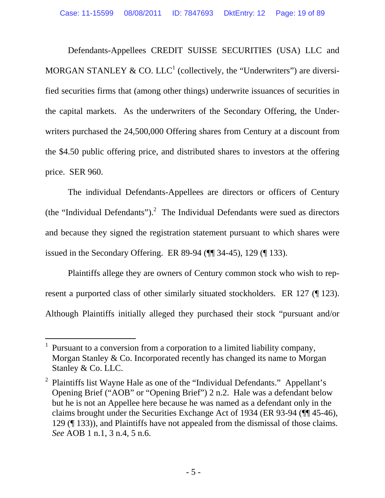Defendants-Appellees CREDIT SUISSE SECURITIES (USA) LLC and MORGAN STANLEY & CO. LLC<sup>1</sup> (collectively, the "Underwriters") are diversified securities firms that (among other things) underwrite issuances of securities in the capital markets. As the underwriters of the Secondary Offering, the Underwriters purchased the 24,500,000 Offering shares from Century at a discount from the \$4.50 public offering price, and distributed shares to investors at the offering price. SER 960.

The individual Defendants-Appellees are directors or officers of Century (the "Individual Defendants").<sup>2</sup> The Individual Defendants were sued as directors and because they signed the registration statement pursuant to which shares were issued in the Secondary Offering. ER 89-94 (¶¶ 34-45), 129 (¶ 133).

Plaintiffs allege they are owners of Century common stock who wish to represent a purported class of other similarly situated stockholders. ER 127 (¶ 123). Although Plaintiffs initially alleged they purchased their stock "pursuant and/or

<sup>1</sup> Pursuant to a conversion from a corporation to a limited liability company, Morgan Stanley & Co. Incorporated recently has changed its name to Morgan Stanley & Co. LLC.

<sup>&</sup>lt;sup>2</sup> Plaintiffs list Wayne Hale as one of the "Individual Defendants." Appellant's Opening Brief ("AOB" or "Opening Brief") 2 n.2. Hale was a defendant below but he is not an Appellee here because he was named as a defendant only in the claims brought under the Securities Exchange Act of 1934 (ER 93-94 (¶¶ 45-46), 129 (¶ 133)), and Plaintiffs have not appealed from the dismissal of those claims. *See* AOB 1 n.1, 3 n.4, 5 n.6.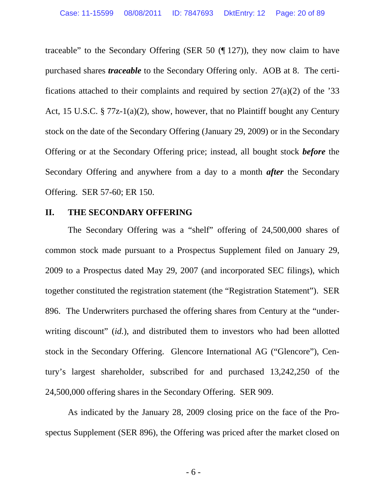traceable" to the Secondary Offering (SER 50 (¶ 127)), they now claim to have purchased shares *traceable* to the Secondary Offering only. AOB at 8. The certifications attached to their complaints and required by section  $27(a)(2)$  of the '33 Act, 15 U.S.C. § 77z-1(a)(2), show, however, that no Plaintiff bought any Century stock on the date of the Secondary Offering (January 29, 2009) or in the Secondary Offering or at the Secondary Offering price; instead, all bought stock *before* the Secondary Offering and anywhere from a day to a month *after* the Secondary Offering. SER 57-60; ER 150.

#### **II. THE SECONDARY OFFERING**

The Secondary Offering was a "shelf" offering of 24,500,000 shares of common stock made pursuant to a Prospectus Supplement filed on January 29, 2009 to a Prospectus dated May 29, 2007 (and incorporated SEC filings), which together constituted the registration statement (the "Registration Statement"). SER 896. The Underwriters purchased the offering shares from Century at the "underwriting discount" (*id.*), and distributed them to investors who had been allotted stock in the Secondary Offering. Glencore International AG ("Glencore"), Century's largest shareholder, subscribed for and purchased 13,242,250 of the 24,500,000 offering shares in the Secondary Offering. SER 909.

As indicated by the January 28, 2009 closing price on the face of the Prospectus Supplement (SER 896), the Offering was priced after the market closed on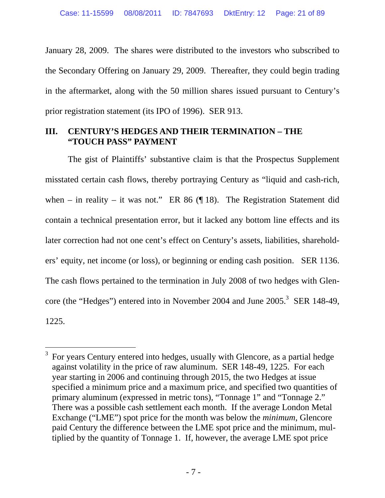January 28, 2009. The shares were distributed to the investors who subscribed to the Secondary Offering on January 29, 2009. Thereafter, they could begin trading in the aftermarket, along with the 50 million shares issued pursuant to Century's prior registration statement (its IPO of 1996). SER 913.

## **III. CENTURY'S HEDGES AND THEIR TERMINATION – THE "TOUCH PASS" PAYMENT**

The gist of Plaintiffs' substantive claim is that the Prospectus Supplement misstated certain cash flows, thereby portraying Century as "liquid and cash-rich, when – in reality – it was not." ER 86 ( $\parallel$  18). The Registration Statement did contain a technical presentation error, but it lacked any bottom line effects and its later correction had not one cent's effect on Century's assets, liabilities, shareholders' equity, net income (or loss), or beginning or ending cash position. SER 1136. The cash flows pertained to the termination in July 2008 of two hedges with Glencore (the "Hedges") entered into in November 2004 and June  $2005$ .<sup>3</sup> SER 148-49, 1225.

-

<sup>3</sup> For years Century entered into hedges, usually with Glencore, as a partial hedge against volatility in the price of raw aluminum. SER 148-49, 1225. For each year starting in 2006 and continuing through 2015, the two Hedges at issue specified a minimum price and a maximum price, and specified two quantities of primary aluminum (expressed in metric tons), "Tonnage 1" and "Tonnage 2." There was a possible cash settlement each month. If the average London Metal Exchange ("LME") spot price for the month was below the *minimum*, Glencore paid Century the difference between the LME spot price and the minimum, multiplied by the quantity of Tonnage 1. If, however, the average LME spot price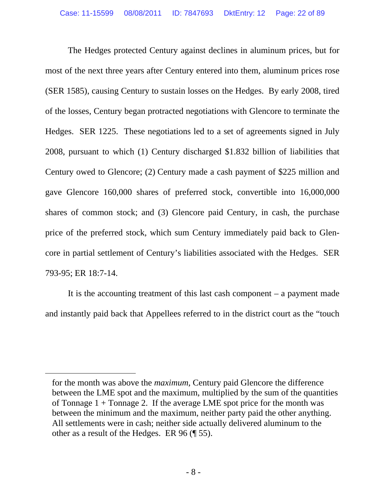The Hedges protected Century against declines in aluminum prices, but for most of the next three years after Century entered into them, aluminum prices rose (SER 1585), causing Century to sustain losses on the Hedges. By early 2008, tired of the losses, Century began protracted negotiations with Glencore to terminate the Hedges. SER 1225. These negotiations led to a set of agreements signed in July 2008, pursuant to which (1) Century discharged \$1.832 billion of liabilities that Century owed to Glencore; (2) Century made a cash payment of \$225 million and gave Glencore 160,000 shares of preferred stock, convertible into 16,000,000 shares of common stock; and (3) Glencore paid Century, in cash, the purchase price of the preferred stock, which sum Century immediately paid back to Glencore in partial settlement of Century's liabilities associated with the Hedges. SER 793-95; ER 18:7-14.

It is the accounting treatment of this last cash component – a payment made and instantly paid back that Appellees referred to in the district court as the "touch

for the month was above the *maximum*, Century paid Glencore the difference between the LME spot and the maximum, multiplied by the sum of the quantities of Tonnage 1 + Tonnage 2. If the average LME spot price for the month was between the minimum and the maximum, neither party paid the other anything. All settlements were in cash; neither side actually delivered aluminum to the other as a result of the Hedges. ER 96 (¶ 55).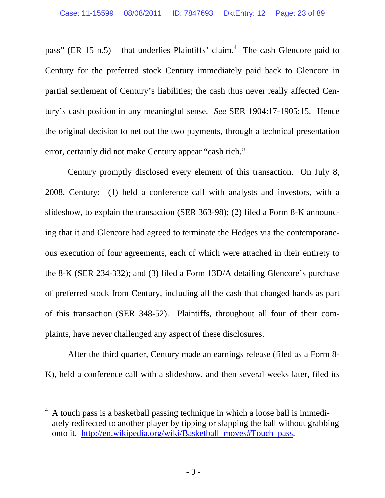pass" (ER 15 n.5) – that underlies Plaintiffs' claim.<sup>4</sup> The cash Glencore paid to Century for the preferred stock Century immediately paid back to Glencore in partial settlement of Century's liabilities; the cash thus never really affected Century's cash position in any meaningful sense. *See* SER 1904:17-1905:15. Hence the original decision to net out the two payments, through a technical presentation error, certainly did not make Century appear "cash rich."

Century promptly disclosed every element of this transaction. On July 8, 2008, Century: (1) held a conference call with analysts and investors, with a slideshow, to explain the transaction (SER 363-98); (2) filed a Form 8-K announcing that it and Glencore had agreed to terminate the Hedges via the contemporaneous execution of four agreements, each of which were attached in their entirety to the 8-K (SER 234-332); and (3) filed a Form 13D/A detailing Glencore's purchase of preferred stock from Century, including all the cash that changed hands as part of this transaction (SER 348-52). Plaintiffs, throughout all four of their complaints, have never challenged any aspect of these disclosures.

After the third quarter, Century made an earnings release (filed as a Form 8- K), held a conference call with a slideshow, and then several weeks later, filed its

<sup>4</sup> A touch pass is a basketball passing technique in which a loose ball is immediately redirected to another player by tipping or slapping the ball without grabbing onto it. http://en.wikipedia.org/wiki/Basketball\_moves#Touch\_pass.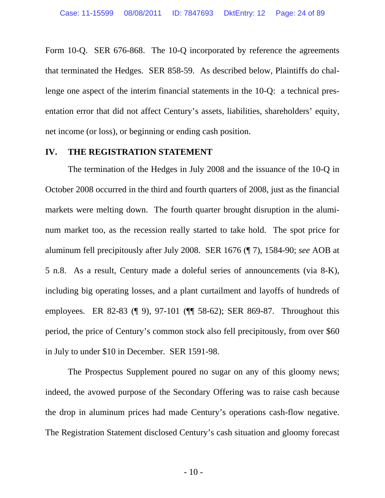Form 10-Q. SER 676-868. The 10-Q incorporated by reference the agreements that terminated the Hedges. SER 858-59. As described below, Plaintiffs do challenge one aspect of the interim financial statements in the 10-Q: a technical presentation error that did not affect Century's assets, liabilities, shareholders' equity, net income (or loss), or beginning or ending cash position.

#### **IV. THE REGISTRATION STATEMENT**

The termination of the Hedges in July 2008 and the issuance of the 10-Q in October 2008 occurred in the third and fourth quarters of 2008, just as the financial markets were melting down. The fourth quarter brought disruption in the aluminum market too, as the recession really started to take hold. The spot price for aluminum fell precipitously after July 2008. SER 1676 (¶ 7), 1584-90; *see* AOB at 5 n.8. As a result, Century made a doleful series of announcements (via 8-K), including big operating losses, and a plant curtailment and layoffs of hundreds of employees. ER 82-83 (¶ 9), 97-101 (¶¶ 58-62); SER 869-87. Throughout this period, the price of Century's common stock also fell precipitously, from over \$60 in July to under \$10 in December. SER 1591-98.

The Prospectus Supplement poured no sugar on any of this gloomy news; indeed, the avowed purpose of the Secondary Offering was to raise cash because the drop in aluminum prices had made Century's operations cash-flow negative. The Registration Statement disclosed Century's cash situation and gloomy forecast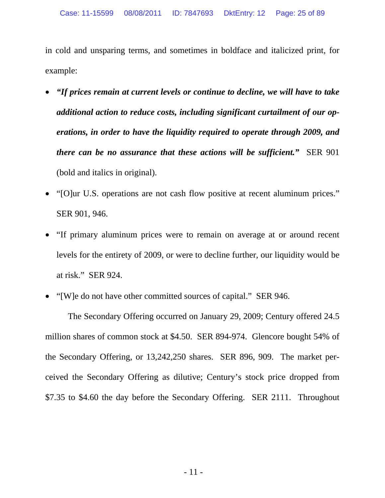in cold and unsparing terms, and sometimes in boldface and italicized print, for example:

- *"If prices remain at current levels or continue to decline, we will have to take additional action to reduce costs, including significant curtailment of our operations, in order to have the liquidity required to operate through 2009, and there can be no assurance that these actions will be sufficient."* SER 901 (bold and italics in original).
- "[O]ur U.S. operations are not cash flow positive at recent aluminum prices." SER 901, 946.
- "If primary aluminum prices were to remain on average at or around recent levels for the entirety of 2009, or were to decline further, our liquidity would be at risk." SER 924.
- "[W]e do not have other committed sources of capital." SER 946.

The Secondary Offering occurred on January 29, 2009; Century offered 24.5 million shares of common stock at \$4.50. SER 894-974. Glencore bought 54% of the Secondary Offering, or 13,242,250 shares. SER 896, 909. The market perceived the Secondary Offering as dilutive; Century's stock price dropped from \$7.35 to \$4.60 the day before the Secondary Offering. SER 2111. Throughout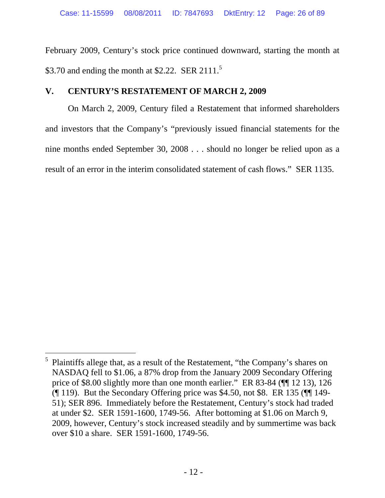February 2009, Century's stock price continued downward, starting the month at \$3.70 and ending the month at \$2.22. SER 2111.<sup>5</sup>

## **V. CENTURY'S RESTATEMENT OF MARCH 2, 2009**

On March 2, 2009, Century filed a Restatement that informed shareholders and investors that the Company's "previously issued financial statements for the nine months ended September 30, 2008 . . . should no longer be relied upon as a result of an error in the interim consolidated statement of cash flows." SER 1135.

<sup>5</sup> Plaintiffs allege that, as a result of the Restatement, "the Company's shares on NASDAQ fell to \$1.06, a 87% drop from the January 2009 Secondary Offering price of \$8.00 slightly more than one month earlier." ER 83-84 (¶¶ 12 13), 126 (¶ 119). But the Secondary Offering price was \$4.50, not \$8. ER 135 (¶¶ 149- 51); SER 896. Immediately before the Restatement, Century's stock had traded at under \$2. SER 1591-1600, 1749-56. After bottoming at \$1.06 on March 9, 2009, however, Century's stock increased steadily and by summertime was back over \$10 a share. SER 1591-1600, 1749-56.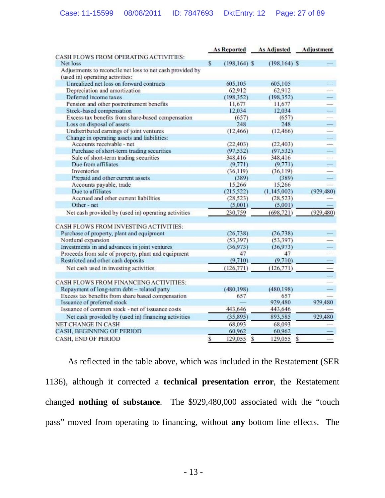|                                                           |    | <b>As Reported</b> | <b>As Adjusted</b> | <b>Adjustment</b> |  |
|-----------------------------------------------------------|----|--------------------|--------------------|-------------------|--|
| <b>CASH FLOWS FROM OPERATING ACTIVITIES:</b>              |    |                    |                    |                   |  |
| Net loss                                                  | \$ | $(198, 164)$ \$    | $(198, 164)$ \$    |                   |  |
| Adjustments to reconcile net loss to net cash provided by |    |                    |                    |                   |  |
| (used in) operating activities:                           |    |                    |                    |                   |  |
| Unrealized net loss on forward contracts                  |    | 605,105            | 605,105            |                   |  |
| Depreciation and amortization                             |    | 62,912             | 62,912             |                   |  |
| Deferred income taxes                                     |    | (198, 352)         | (198, 352)         |                   |  |
| Pension and other postretirement benefits                 |    | 11,677             | 11,677             |                   |  |
| Stock-based compensation                                  |    | 12,034             | 12,034             |                   |  |
| Excess tax benefits from share-based compensation         |    | (657)              | (657)              |                   |  |
| Loss on disposal of assets                                |    | 248                | 248                |                   |  |
| Undistributed earnings of joint ventures                  |    | (12, 466)          | (12, 466)          |                   |  |
| Change in operating assets and liabilities:               |    |                    |                    |                   |  |
| Accounts receivable - net                                 |    | (22, 403)          | (22, 403)          |                   |  |
| Purchase of short-term trading securities                 |    | (97, 532)          | (97, 532)          |                   |  |
| Sale of short-term trading securities                     |    | 348,416            | 348,416            |                   |  |
| Due from affiliates                                       |    | (9,771)            | (9,771)            |                   |  |
| Inventories                                               |    | (36, 119)          | (36, 119)          |                   |  |
| Prepaid and other current assets                          |    | (389)              | (389)              |                   |  |
| Accounts payable, trade                                   |    | 15,266             | 15,266             |                   |  |
| Due to affiliates                                         |    | (215, 522)         | (1, 145, 002)      | (929, 480)        |  |
| Accrued and other current liabilities                     |    | (28, 523)          | (28, 523)          |                   |  |
| Other - net                                               |    | (5,001)            | (5,001)            |                   |  |
| Net cash provided by (used in) operating activities       |    | 230,759            | (698, 721)         | (929, 480)        |  |
| <b>CASH FLOWS FROM INVESTING ACTIVITIES:</b>              |    |                    |                    |                   |  |
| Purchase of property, plant and equipment                 |    | (26, 738)          | (26, 738)          |                   |  |
| Nordural expansion                                        |    | (53, 397)          | (53, 397)          |                   |  |
| Investments in and advances in joint ventures             |    | (36,973)           | (36,973)           |                   |  |
| Proceeds from sale of property, plant and equipment       |    | 47                 | 47                 |                   |  |
| Restricted and other cash deposits                        |    | (9,710)            | (9,710)            |                   |  |
| Net cash used in investing activities                     |    | (126, 771)         | (126, 771)         |                   |  |
|                                                           |    |                    |                    |                   |  |
| <b>CASH FLOWS FROM FINANCIING ACTIVITIES:</b>             |    |                    |                    |                   |  |
| Repayment of long-term debt - related party               |    | (480, 198)         | (480, 198)         |                   |  |
| Excess tax benefits from share based compensation         |    | 657                | 657                |                   |  |
| Issuance of preferred stock                               |    |                    | 929,480            | 929,480           |  |
| Issuance of common stock - net of issuance costs          |    | 443,646            | 443,646            |                   |  |
| Net cash provided by (used in) financing activities       |    | (35, 895)          | 893,585            | 929,480           |  |
| <b>NET CHANGE IN CASH</b>                                 |    | 68,093             | 68,093             |                   |  |
| CASH, BEGINNING OF PERIOD                                 |    | 60,962             | 60,962             |                   |  |
| CASH, END OF PERIOD                                       | \$ | 129,055<br>\$      | 129,055            | \$                |  |

As reflected in the table above, which was included in the Restatement (SER 1136), although it corrected a **technical presentation error**, the Restatement changed **nothing of substance**. The \$929,480,000 associated with the "touch pass" moved from operating to financing, without **any** bottom line effects. The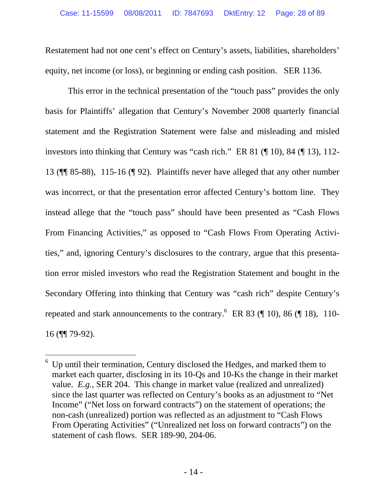Restatement had not one cent's effect on Century's assets, liabilities, shareholders' equity, net income (or loss), or beginning or ending cash position. SER 1136.

This error in the technical presentation of the "touch pass" provides the only basis for Plaintiffs' allegation that Century's November 2008 quarterly financial statement and the Registration Statement were false and misleading and misled investors into thinking that Century was "cash rich." ER 81 (¶ 10), 84 (¶ 13), 112- 13 (¶¶ 85-88), 115-16 (¶ 92). Plaintiffs never have alleged that any other number was incorrect, or that the presentation error affected Century's bottom line. They instead allege that the "touch pass" should have been presented as "Cash Flows From Financing Activities," as opposed to "Cash Flows From Operating Activities," and, ignoring Century's disclosures to the contrary, argue that this presentation error misled investors who read the Registration Statement and bought in the Secondary Offering into thinking that Century was "cash rich" despite Century's repeated and stark announcements to the contrary.  $^6$  ER 83 (¶ 10), 86 (¶ 18), 110-16 (¶¶ 79-92).

<sup>6</sup> Up until their termination, Century disclosed the Hedges, and marked them to market each quarter, disclosing in its 10-Qs and 10-Ks the change in their market value. *E.g.*, SER 204. This change in market value (realized and unrealized) since the last quarter was reflected on Century's books as an adjustment to "Net Income" ("Net loss on forward contracts") on the statement of operations; the non-cash (unrealized) portion was reflected as an adjustment to "Cash Flows From Operating Activities" ("Unrealized net loss on forward contracts") on the statement of cash flows. SER 189-90, 204-06.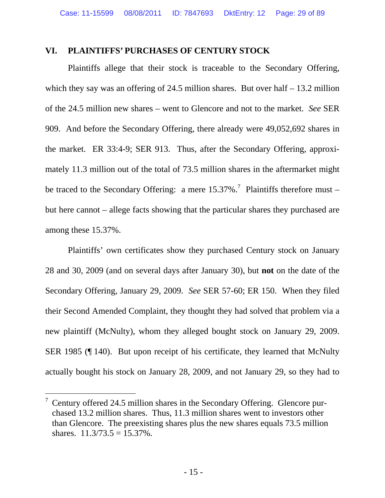## **VI. PLAINTIFFS' PURCHASES OF CENTURY STOCK**

Plaintiffs allege that their stock is traceable to the Secondary Offering, which they say was an offering of  $24.5$  million shares. But over half  $-13.2$  million of the 24.5 million new shares – went to Glencore and not to the market. *See* SER 909. And before the Secondary Offering, there already were 49,052,692 shares in the market. ER 33:4-9; SER 913. Thus, after the Secondary Offering, approximately 11.3 million out of the total of 73.5 million shares in the aftermarket might be traced to the Secondary Offering: a mere  $15.37\%$ .<sup>7</sup> Plaintiffs therefore must – but here cannot – allege facts showing that the particular shares they purchased are among these 15.37%.

Plaintiffs' own certificates show they purchased Century stock on January 28 and 30, 2009 (and on several days after January 30), but **not** on the date of the Secondary Offering, January 29, 2009. *See* SER 57-60; ER 150. When they filed their Second Amended Complaint, they thought they had solved that problem via a new plaintiff (McNulty), whom they alleged bought stock on January 29, 2009. SER 1985 (¶ 140). But upon receipt of his certificate, they learned that McNulty actually bought his stock on January 28, 2009, and not January 29, so they had to

 $7$  Century offered 24.5 million shares in the Secondary Offering. Glencore purchased 13.2 million shares. Thus, 11.3 million shares went to investors other than Glencore. The preexisting shares plus the new shares equals 73.5 million shares.  $11.3/73.5 = 15.37\%$ .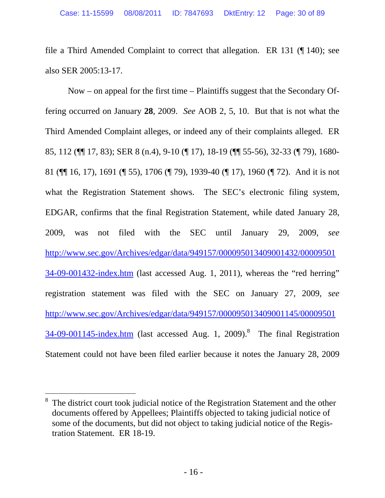file a Third Amended Complaint to correct that allegation. ER 131 (¶ 140); see also SER 2005:13-17.

Now – on appeal for the first time – Plaintiffs suggest that the Secondary Offering occurred on January **28**, 2009. *See* AOB 2, 5, 10. But that is not what the Third Amended Complaint alleges, or indeed any of their complaints alleged. ER 85, 112 (¶¶ 17, 83); SER 8 (n.4), 9-10 (¶ 17), 18-19 (¶¶ 55-56), 32-33 (¶ 79), 1680- 81 (¶¶ 16, 17), 1691 (¶ 55), 1706 (¶ 79), 1939-40 (¶ 17), 1960 (¶ 72). And it is not what the Registration Statement shows. The SEC's electronic filing system, EDGAR, confirms that the final Registration Statement, while dated January 28, 2009, was not filed with the SEC until January 29, 2009, *see* http://www.sec.gov/Archives/edgar/data/949157/000095013409001432/00009501 34-09-001432-index.htm (last accessed Aug. 1, 2011), whereas the "red herring" registration statement was filed with the SEC on January 27, 2009, *see* http://www.sec.gov/Archives/edgar/data/949157/000095013409001145/00009501 34-09-001145-index.htm (last accessed Aug. 1, 2009).<sup>8</sup> The final Registration Statement could not have been filed earlier because it notes the January 28, 2009

-

<sup>8</sup> The district court took judicial notice of the Registration Statement and the other documents offered by Appellees; Plaintiffs objected to taking judicial notice of some of the documents, but did not object to taking judicial notice of the Registration Statement. ER 18-19.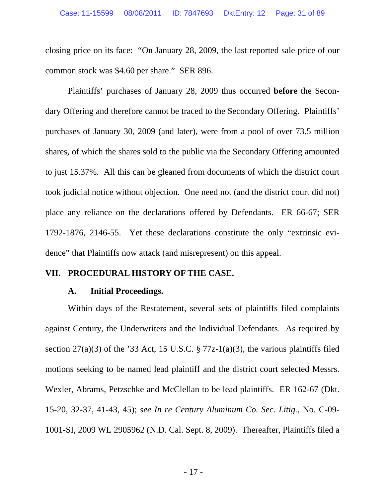closing price on its face: "On January 28, 2009, the last reported sale price of our common stock was \$4.60 per share." SER 896.

Plaintiffs' purchases of January 28, 2009 thus occurred **before** the Secondary Offering and therefore cannot be traced to the Secondary Offering. Plaintiffs' purchases of January 30, 2009 (and later), were from a pool of over 73.5 million shares, of which the shares sold to the public via the Secondary Offering amounted to just 15.37%. All this can be gleaned from documents of which the district court took judicial notice without objection. One need not (and the district court did not) place any reliance on the declarations offered by Defendants. ER 66-67; SER 1792-1876, 2146-55. Yet these declarations constitute the only "extrinsic evidence" that Plaintiffs now attack (and misrepresent) on this appeal.

## **VII. PROCEDURAL HISTORY OF THE CASE.**

#### **A. Initial Proceedings.**

Within days of the Restatement, several sets of plaintiffs filed complaints against Century, the Underwriters and the Individual Defendants. As required by section  $27(a)(3)$  of the '33 Act, 15 U.S.C. § 77z-1(a)(3), the various plaintiffs filed motions seeking to be named lead plaintiff and the district court selected Messrs. Wexler, Abrams, Petzschke and McClellan to be lead plaintiffs. ER 162-67 (Dkt. 15-20, 32-37, 41-43, 45); *see In re Century Aluminum Co. Sec. Litig.*, No. C-09- 1001-SI, 2009 WL 2905962 (N.D. Cal. Sept. 8, 2009). Thereafter, Plaintiffs filed a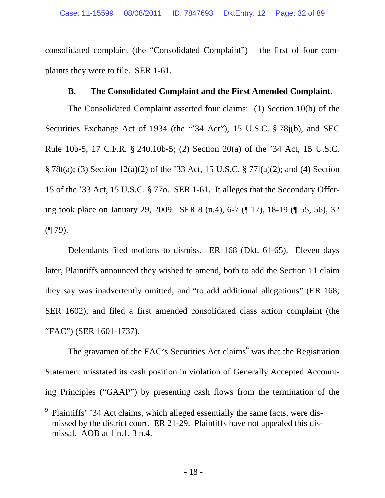consolidated complaint (the "Consolidated Complaint") – the first of four complaints they were to file. SER 1-61.

## **B. The Consolidated Complaint and the First Amended Complaint.**

The Consolidated Complaint asserted four claims: (1) Section 10(b) of the Securities Exchange Act of 1934 (the "'34 Act"), 15 U.S.C. § 78j(b), and SEC Rule 10b-5, 17 C.F.R. § 240.10b-5; (2) Section 20(a) of the '34 Act, 15 U.S.C. § 78t(a); (3) Section 12(a)(2) of the '33 Act, 15 U.S.C. § 77l(a)(2); and (4) Section 15 of the '33 Act, 15 U.S.C. § 77o. SER 1-61. It alleges that the Secondary Offering took place on January 29, 2009. SER 8 (n.4), 6-7 (¶ 17), 18-19 (¶ 55, 56), 32  $($ | 79).

Defendants filed motions to dismiss. ER 168 (Dkt. 61-65). Eleven days later, Plaintiffs announced they wished to amend, both to add the Section 11 claim they say was inadvertently omitted, and "to add additional allegations" (ER 168; SER 1602), and filed a first amended consolidated class action complaint (the "FAC") (SER 1601-1737).

The gravamen of the FAC's Securities Act claims<sup>9</sup> was that the Registration Statement misstated its cash position in violation of Generally Accepted Accounting Principles ("GAAP") by presenting cash flows from the termination of the

 $9$  Plaintiffs' '34 Act claims, which alleged essentially the same facts, were dismissed by the district court. ER 21-29. Plaintiffs have not appealed this dismissal. AOB at 1 n.1, 3 n.4.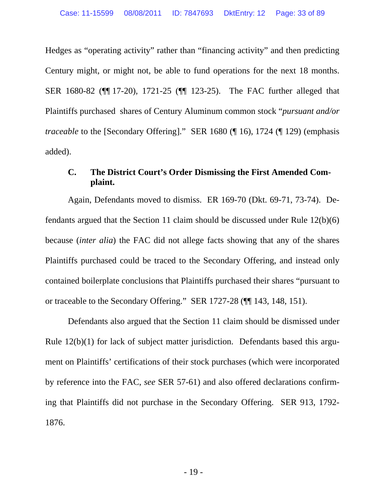Hedges as "operating activity" rather than "financing activity" and then predicting Century might, or might not, be able to fund operations for the next 18 months. SER 1680-82 (¶¶ 17-20), 1721-25 (¶¶ 123-25). The FAC further alleged that Plaintiffs purchased shares of Century Aluminum common stock "*pursuant and/or traceable* to the [Secondary Offering]." SER 1680 (¶ 16), 1724 (¶ 129) (emphasis added).

## **C. The District Court's Order Dismissing the First Amended Complaint.**

Again, Defendants moved to dismiss. ER 169-70 (Dkt. 69-71, 73-74). Defendants argued that the Section 11 claim should be discussed under Rule 12(b)(6) because (*inter alia*) the FAC did not allege facts showing that any of the shares Plaintiffs purchased could be traced to the Secondary Offering, and instead only contained boilerplate conclusions that Plaintiffs purchased their shares "pursuant to or traceable to the Secondary Offering." SER 1727-28 (¶¶ 143, 148, 151).

Defendants also argued that the Section 11 claim should be dismissed under Rule 12(b)(1) for lack of subject matter jurisdiction. Defendants based this argument on Plaintiffs' certifications of their stock purchases (which were incorporated by reference into the FAC, *see* SER 57-61) and also offered declarations confirming that Plaintiffs did not purchase in the Secondary Offering. SER 913, 1792- 1876.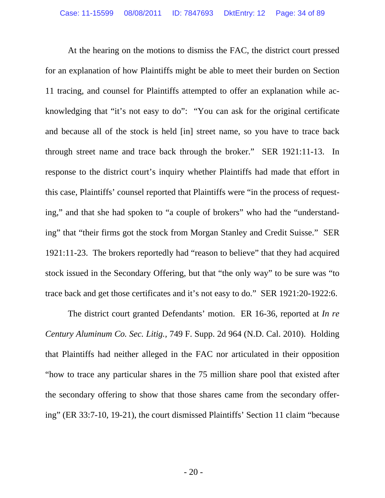At the hearing on the motions to dismiss the FAC, the district court pressed for an explanation of how Plaintiffs might be able to meet their burden on Section 11 tracing, and counsel for Plaintiffs attempted to offer an explanation while acknowledging that "it's not easy to do": "You can ask for the original certificate and because all of the stock is held [in] street name, so you have to trace back through street name and trace back through the broker." SER 1921:11-13. In response to the district court's inquiry whether Plaintiffs had made that effort in this case, Plaintiffs' counsel reported that Plaintiffs were "in the process of requesting," and that she had spoken to "a couple of brokers" who had the "understanding" that "their firms got the stock from Morgan Stanley and Credit Suisse." SER 1921:11-23. The brokers reportedly had "reason to believe" that they had acquired stock issued in the Secondary Offering, but that "the only way" to be sure was "to trace back and get those certificates and it's not easy to do." SER 1921:20-1922:6.

The district court granted Defendants' motion. ER 16-36, reported at *In re Century Aluminum Co. Sec. Litig.,* 749 F. Supp. 2d 964 (N.D. Cal. 2010). Holding that Plaintiffs had neither alleged in the FAC nor articulated in their opposition "how to trace any particular shares in the 75 million share pool that existed after the secondary offering to show that those shares came from the secondary offering" (ER 33:7-10, 19-21), the court dismissed Plaintiffs' Section 11 claim "because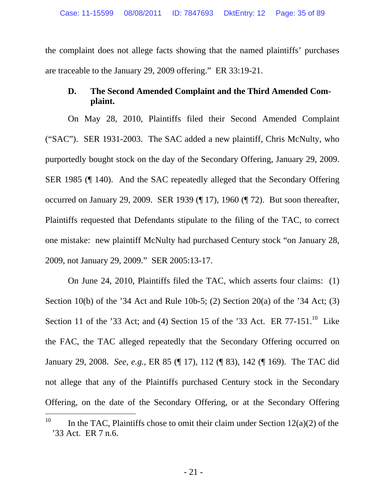the complaint does not allege facts showing that the named plaintiffs' purchases are traceable to the January 29, 2009 offering." ER 33:19-21.

# **D. The Second Amended Complaint and the Third Amended Complaint.**

On May 28, 2010, Plaintiffs filed their Second Amended Complaint ("SAC"). SER 1931-2003. The SAC added a new plaintiff, Chris McNulty, who purportedly bought stock on the day of the Secondary Offering, January 29, 2009. SER 1985 (¶ 140). And the SAC repeatedly alleged that the Secondary Offering occurred on January 29, 2009. SER 1939 (¶ 17), 1960 (¶ 72). But soon thereafter, Plaintiffs requested that Defendants stipulate to the filing of the TAC, to correct one mistake: new plaintiff McNulty had purchased Century stock "on January 28, 2009, not January 29, 2009." SER 2005:13-17.

On June 24, 2010, Plaintiffs filed the TAC, which asserts four claims: (1) Section 10(b) of the '34 Act and Rule 10b-5; (2) Section 20(a) of the '34 Act; (3) Section 11 of the '33 Act; and (4) Section 15 of the '33 Act. ER  $77-151$ <sup>10</sup> Like the FAC, the TAC alleged repeatedly that the Secondary Offering occurred on January 29, 2008. *See, e.g.*, ER 85 (¶ 17), 112 (¶ 83), 142 (¶ 169). The TAC did not allege that any of the Plaintiffs purchased Century stock in the Secondary Offering, on the date of the Secondary Offering, or at the Secondary Offering

l

<sup>&</sup>lt;sup>10</sup> In the TAC, Plaintiffs chose to omit their claim under Section 12(a)(2) of the '33 Act. ER 7 n.6.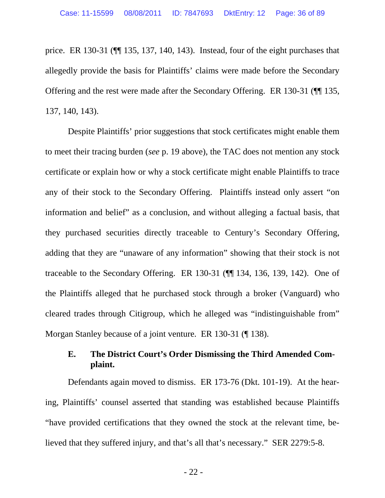price. ER 130-31 (¶¶ 135, 137, 140, 143). Instead, four of the eight purchases that allegedly provide the basis for Plaintiffs' claims were made before the Secondary Offering and the rest were made after the Secondary Offering. ER 130-31 (¶¶ 135, 137, 140, 143).

Despite Plaintiffs' prior suggestions that stock certificates might enable them to meet their tracing burden (*see* p. 19 above), the TAC does not mention any stock certificate or explain how or why a stock certificate might enable Plaintiffs to trace any of their stock to the Secondary Offering. Plaintiffs instead only assert "on information and belief" as a conclusion, and without alleging a factual basis, that they purchased securities directly traceable to Century's Secondary Offering, adding that they are "unaware of any information" showing that their stock is not traceable to the Secondary Offering. ER 130-31 (¶¶ 134, 136, 139, 142). One of the Plaintiffs alleged that he purchased stock through a broker (Vanguard) who cleared trades through Citigroup, which he alleged was "indistinguishable from" Morgan Stanley because of a joint venture. ER 130-31 (¶ 138).

## **E. The District Court's Order Dismissing the Third Amended Complaint.**

Defendants again moved to dismiss. ER 173-76 (Dkt. 101-19). At the hearing, Plaintiffs' counsel asserted that standing was established because Plaintiffs "have provided certifications that they owned the stock at the relevant time, believed that they suffered injury, and that's all that's necessary." SER 2279:5-8.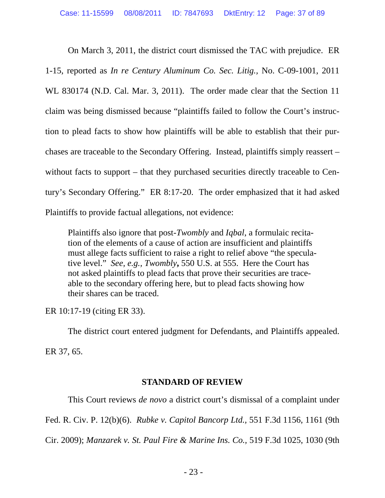On March 3, 2011, the district court dismissed the TAC with prejudice. ER

1-15, reported as *In re Century Aluminum Co. Sec. Litig.,* No. C-09-1001, 2011 WL 830174 (N.D. Cal. Mar. 3, 2011). The order made clear that the Section 11 claim was being dismissed because "plaintiffs failed to follow the Court's instruction to plead facts to show how plaintiffs will be able to establish that their purchases are traceable to the Secondary Offering. Instead, plaintiffs simply reassert – without facts to support – that they purchased securities directly traceable to Century's Secondary Offering." ER 8:17-20. The order emphasized that it had asked Plaintiffs to provide factual allegations, not evidence:

Plaintiffs also ignore that post-*Twombly* and *Iqbal*, a formulaic recitation of the elements of a cause of action are insufficient and plaintiffs must allege facts sufficient to raise a right to relief above "the speculative level." *See, e.g., Twombly***,** 550 U.S. at 555. Here the Court has not asked plaintiffs to plead facts that prove their securities are traceable to the secondary offering here, but to plead facts showing how their shares can be traced.

ER 10:17-19 (citing ER 33).

The district court entered judgment for Defendants, and Plaintiffs appealed.

ER 37, 65.

## **STANDARD OF REVIEW**

This Court reviews *de novo* a district court's dismissal of a complaint under

Fed. R. Civ. P. 12(b)(6). *Rubke v. Capitol Bancorp Ltd.,* 551 F.3d 1156, 1161 (9th

Cir. 2009); *Manzarek v. St. Paul Fire & Marine Ins. Co.,* 519 F.3d 1025, 1030 (9th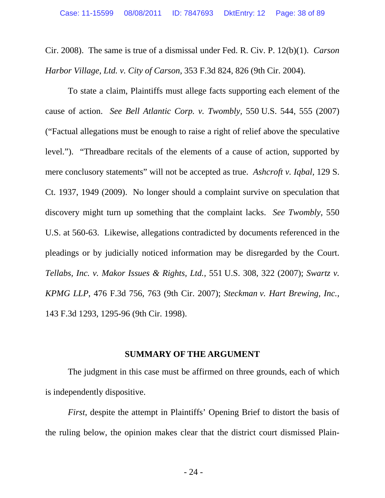Cir. 2008). The same is true of a dismissal under Fed. R. Civ. P. 12(b)(1). *Carson Harbor Village, Ltd. v. City of Carson,* 353 F.3d 824, 826 (9th Cir. 2004).

To state a claim, Plaintiffs must allege facts supporting each element of the cause of action. *See Bell Atlantic Corp. v. Twombly,* 550 U.S. 544, 555 (2007) ("Factual allegations must be enough to raise a right of relief above the speculative level."). "Threadbare recitals of the elements of a cause of action, supported by mere conclusory statements" will not be accepted as true. *Ashcroft v. Iqbal,* 129 S. Ct. 1937, 1949 (2009). No longer should a complaint survive on speculation that discovery might turn up something that the complaint lacks. *See Twombly,* 550 U.S. at 560-63. Likewise, allegations contradicted by documents referenced in the pleadings or by judicially noticed information may be disregarded by the Court. *Tellabs, Inc. v. Makor Issues & Rights, Ltd.,* 551 U.S. 308, 322 (2007); *Swartz v. KPMG LLP*, 476 F.3d 756, 763 (9th Cir. 2007); *Steckman v. Hart Brewing, Inc.,* 143 F.3d 1293, 1295-96 (9th Cir. 1998).

#### **SUMMARY OF THE ARGUMENT**

The judgment in this case must be affirmed on three grounds, each of which is independently dispositive.

*First*, despite the attempt in Plaintiffs' Opening Brief to distort the basis of the ruling below, the opinion makes clear that the district court dismissed Plain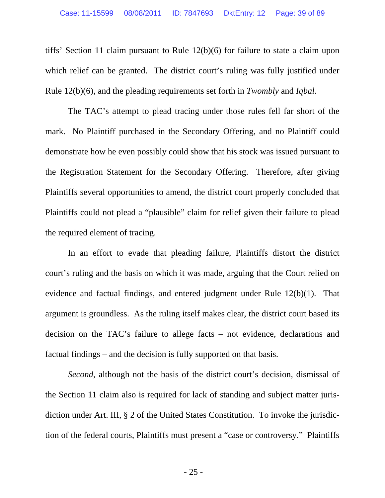tiffs' Section 11 claim pursuant to Rule 12(b)(6) for failure to state a claim upon which relief can be granted. The district court's ruling was fully justified under Rule 12(b)(6), and the pleading requirements set forth in *Twombly* and *Iqbal*.

The TAC's attempt to plead tracing under those rules fell far short of the mark. No Plaintiff purchased in the Secondary Offering, and no Plaintiff could demonstrate how he even possibly could show that his stock was issued pursuant to the Registration Statement for the Secondary Offering. Therefore, after giving Plaintiffs several opportunities to amend, the district court properly concluded that Plaintiffs could not plead a "plausible" claim for relief given their failure to plead the required element of tracing.

In an effort to evade that pleading failure, Plaintiffs distort the district court's ruling and the basis on which it was made, arguing that the Court relied on evidence and factual findings, and entered judgment under Rule 12(b)(1). That argument is groundless. As the ruling itself makes clear, the district court based its decision on the TAC's failure to allege facts – not evidence, declarations and factual findings – and the decision is fully supported on that basis.

*Second*, although not the basis of the district court's decision, dismissal of the Section 11 claim also is required for lack of standing and subject matter jurisdiction under Art. III, § 2 of the United States Constitution. To invoke the jurisdiction of the federal courts, Plaintiffs must present a "case or controversy." Plaintiffs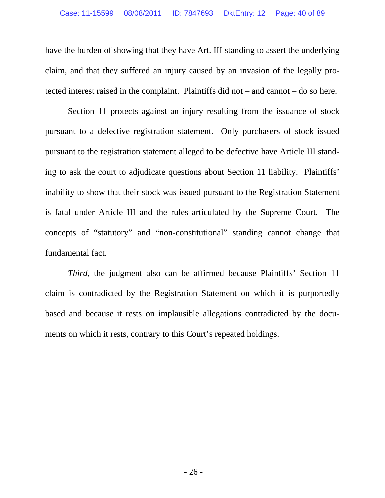have the burden of showing that they have Art. III standing to assert the underlying claim, and that they suffered an injury caused by an invasion of the legally protected interest raised in the complaint. Plaintiffs did not – and cannot – do so here.

Section 11 protects against an injury resulting from the issuance of stock pursuant to a defective registration statement. Only purchasers of stock issued pursuant to the registration statement alleged to be defective have Article III standing to ask the court to adjudicate questions about Section 11 liability. Plaintiffs' inability to show that their stock was issued pursuant to the Registration Statement is fatal under Article III and the rules articulated by the Supreme Court. The concepts of "statutory" and "non-constitutional" standing cannot change that fundamental fact.

*Third*, the judgment also can be affirmed because Plaintiffs' Section 11 claim is contradicted by the Registration Statement on which it is purportedly based and because it rests on implausible allegations contradicted by the documents on which it rests, contrary to this Court's repeated holdings.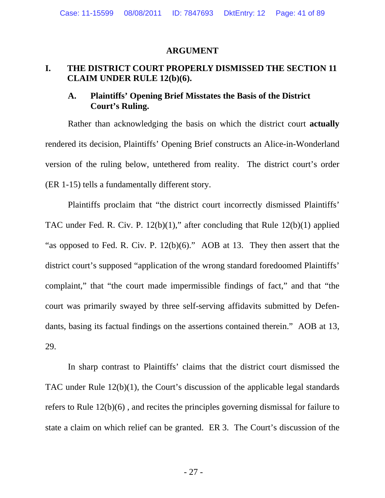#### **ARGUMENT**

### **I. THE DISTRICT COURT PROPERLY DISMISSED THE SECTION 11 CLAIM UNDER RULE 12(b)(6).**

## **A. Plaintiffs' Opening Brief Misstates the Basis of the District Court's Ruling.**

Rather than acknowledging the basis on which the district court **actually** rendered its decision, Plaintiffs' Opening Brief constructs an Alice-in-Wonderland version of the ruling below, untethered from reality. The district court's order (ER 1-15) tells a fundamentally different story.

Plaintiffs proclaim that "the district court incorrectly dismissed Plaintiffs' TAC under Fed. R. Civ. P. 12(b)(1)," after concluding that Rule 12(b)(1) applied "as opposed to Fed. R. Civ. P. 12(b)(6)." AOB at 13. They then assert that the district court's supposed "application of the wrong standard foredoomed Plaintiffs' complaint," that "the court made impermissible findings of fact," and that "the court was primarily swayed by three self-serving affidavits submitted by Defendants, basing its factual findings on the assertions contained therein." AOB at 13, 29.

In sharp contrast to Plaintiffs' claims that the district court dismissed the TAC under Rule 12(b)(1), the Court's discussion of the applicable legal standards refers to Rule 12(b)(6) , and recites the principles governing dismissal for failure to state a claim on which relief can be granted. ER 3. The Court's discussion of the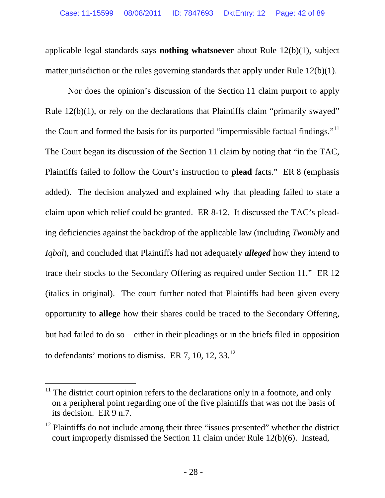applicable legal standards says **nothing whatsoever** about Rule 12(b)(1), subject matter jurisdiction or the rules governing standards that apply under Rule 12(b)(1).

Nor does the opinion's discussion of the Section 11 claim purport to apply Rule 12(b)(1), or rely on the declarations that Plaintiffs claim "primarily swayed" the Court and formed the basis for its purported "impermissible factual findings."<sup>11</sup> The Court began its discussion of the Section 11 claim by noting that "in the TAC, Plaintiffs failed to follow the Court's instruction to **plead** facts." ER 8 (emphasis added). The decision analyzed and explained why that pleading failed to state a claim upon which relief could be granted. ER 8-12. It discussed the TAC's pleading deficiencies against the backdrop of the applicable law (including *Twombly* and *Iqbal*), and concluded that Plaintiffs had not adequately *alleged* how they intend to trace their stocks to the Secondary Offering as required under Section 11." ER 12 (italics in original). The court further noted that Plaintiffs had been given every opportunity to **allege** how their shares could be traced to the Secondary Offering, but had failed to do so  $-$  either in their pleadings or in the briefs filed in opposition to defendants' motions to dismiss. ER 7, 10, 12, 33. $^{12}$ 

-

 $11$  The district court opinion refers to the declarations only in a footnote, and only on a peripheral point regarding one of the five plaintiffs that was not the basis of its decision. ER 9 n.7.

 $12$  Plaintiffs do not include among their three "issues presented" whether the district court improperly dismissed the Section 11 claim under Rule 12(b)(6). Instead,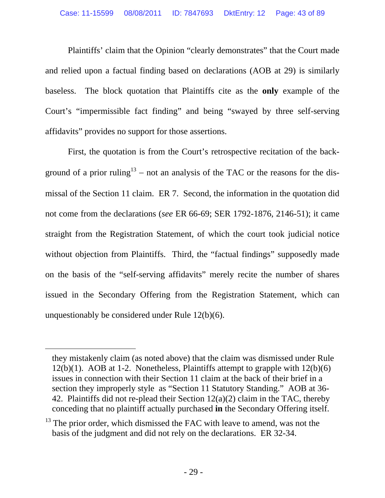Plaintiffs' claim that the Opinion "clearly demonstrates" that the Court made and relied upon a factual finding based on declarations (AOB at 29) is similarly baseless. The block quotation that Plaintiffs cite as the **only** example of the Court's "impermissible fact finding" and being "swayed by three self-serving affidavits" provides no support for those assertions.

First, the quotation is from the Court's retrospective recitation of the background of a prior ruling<sup>13</sup> – not an analysis of the TAC or the reasons for the dismissal of the Section 11 claim. ER 7. Second, the information in the quotation did not come from the declarations (*see* ER 66-69; SER 1792-1876, 2146-51); it came straight from the Registration Statement, of which the court took judicial notice without objection from Plaintiffs. Third, the "factual findings" supposedly made on the basis of the "self-serving affidavits" merely recite the number of shares issued in the Secondary Offering from the Registration Statement, which can unquestionably be considered under Rule 12(b)(6).

l

they mistakenly claim (as noted above) that the claim was dismissed under Rule 12(b)(1). AOB at 1-2. Nonetheless, Plaintiffs attempt to grapple with 12(b)(6) issues in connection with their Section 11 claim at the back of their brief in a section they improperly style as "Section 11 Statutory Standing." AOB at 36- 42. Plaintiffs did not re-plead their Section 12(a)(2) claim in the TAC, thereby conceding that no plaintiff actually purchased **in** the Secondary Offering itself.

 $13$  The prior order, which dismissed the FAC with leave to amend, was not the basis of the judgment and did not rely on the declarations. ER 32-34.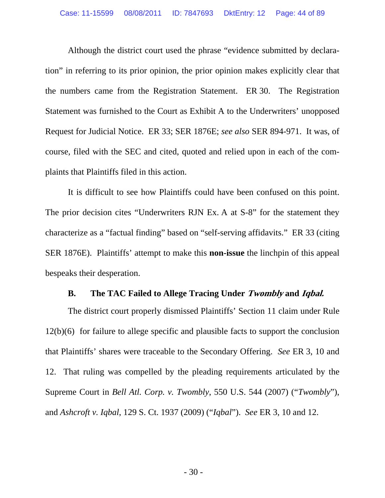Although the district court used the phrase "evidence submitted by declaration" in referring to its prior opinion, the prior opinion makes explicitly clear that the numbers came from the Registration Statement. ER 30. The Registration Statement was furnished to the Court as Exhibit A to the Underwriters' unopposed Request for Judicial Notice. ER 33; SER 1876E; *see also* SER 894-971. It was, of course, filed with the SEC and cited, quoted and relied upon in each of the complaints that Plaintiffs filed in this action.

It is difficult to see how Plaintiffs could have been confused on this point. The prior decision cites "Underwriters RJN Ex. A at S-8" for the statement they characterize as a "factual finding" based on "self-serving affidavits." ER 33 (citing SER 1876E). Plaintiffs' attempt to make this **non-issue** the linchpin of this appeal bespeaks their desperation.

#### **B. The TAC Failed to Allege Tracing Under Twombly and Iqbal.**

The district court properly dismissed Plaintiffs' Section 11 claim under Rule 12(b)(6) for failure to allege specific and plausible facts to support the conclusion that Plaintiffs' shares were traceable to the Secondary Offering. *See* ER 3, 10 and 12. That ruling was compelled by the pleading requirements articulated by the Supreme Court in *Bell Atl. Corp. v. Twombly*, 550 U.S. 544 (2007) ("*Twombly*"), and *Ashcroft v. Iqbal*, 129 S. Ct. 1937 (2009) ("*Iqbal*"). *See* ER 3, 10 and 12.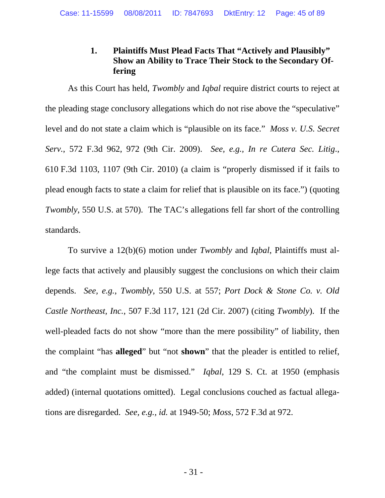# **1. Plaintiffs Must Plead Facts That "Actively and Plausibly" Show an Ability to Trace Their Stock to the Secondary Offering**

As this Court has held, *Twombly* and *Iqbal* require district courts to reject at the pleading stage conclusory allegations which do not rise above the "speculative" level and do not state a claim which is "plausible on its face." *Moss v. U.S. Secret Serv.*, 572 F.3d 962, 972 (9th Cir. 2009). *See, e.g., In re Cutera Sec. Litig*., 610 F.3d 1103, 1107 (9th Cir. 2010) (a claim is "properly dismissed if it fails to plead enough facts to state a claim for relief that is plausible on its face.") (quoting *Twombly*, 550 U.S. at 570). The TAC's allegations fell far short of the controlling standards.

To survive a 12(b)(6) motion under *Twombly* and *Iqbal*, Plaintiffs must allege facts that actively and plausibly suggest the conclusions on which their claim depends. *See, e.g.*, *Twombly*, 550 U.S. at 557; *Port Dock & Stone Co. v. Old Castle Northeast, Inc.*, 507 F.3d 117, 121 (2d Cir. 2007) (citing *Twombly*). If the well-pleaded facts do not show "more than the mere possibility" of liability, then the complaint "has **alleged**" but "not **shown**" that the pleader is entitled to relief, and "the complaint must be dismissed." *Iqbal*, 129 S. Ct. at 1950 (emphasis added) (internal quotations omitted). Legal conclusions couched as factual allegations are disregarded. *See, e.g., id.* at 1949-50; *Moss*, 572 F.3d at 972.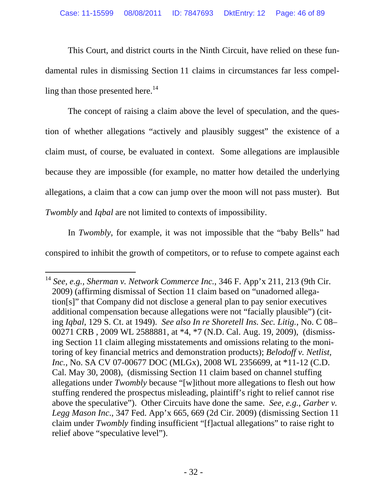This Court, and district courts in the Ninth Circuit, have relied on these fundamental rules in dismissing Section 11 claims in circumstances far less compelling than those presented here.<sup>14</sup>

The concept of raising a claim above the level of speculation, and the question of whether allegations "actively and plausibly suggest" the existence of a claim must, of course, be evaluated in context. Some allegations are implausible because they are impossible (for example, no matter how detailed the underlying allegations, a claim that a cow can jump over the moon will not pass muster). But *Twombly* and *Iqbal* are not limited to contexts of impossibility.

In *Twombly*, for example, it was not impossible that the "baby Bells" had conspired to inhibit the growth of competitors, or to refuse to compete against each

 $\overline{a}$ 

<sup>14</sup> *See, e.g., Sherman v. Network Commerce Inc.*, 346 F. App'x 211, 213 (9th Cir. 2009) (affirming dismissal of Section 11 claim based on "unadorned allegation[s]" that Company did not disclose a general plan to pay senior executives additional compensation because allegations were not "facially plausible") (citing *Iqbal*, 129 S. Ct. at 1949). *See also In re Shoretell Ins. Sec. Litig.*, No. C 08– 00271 CRB , 2009 WL 2588881, at \*4, \*7 (N.D. Cal. Aug. 19, 2009), (dismissing Section 11 claim alleging misstatements and omissions relating to the monitoring of key financial metrics and demonstration products); *Belodoff v. Netlist, Inc.*, No. SA CV 07-00677 DOC (MLGx), 2008 WL 2356699, at \*11-12 (C.D. Cal. May 30, 2008), (dismissing Section 11 claim based on channel stuffing allegations under *Twombly* because "[w]ithout more allegations to flesh out how stuffing rendered the prospectus misleading, plaintiff's right to relief cannot rise above the speculative"). Other Circuits have done the same. *See, e.g., Garber v. Legg Mason Inc*., 347 Fed. App'x 665, 669 (2d Cir. 2009) (dismissing Section 11 claim under *Twombly* finding insufficient "[f]actual allegations" to raise right to relief above "speculative level").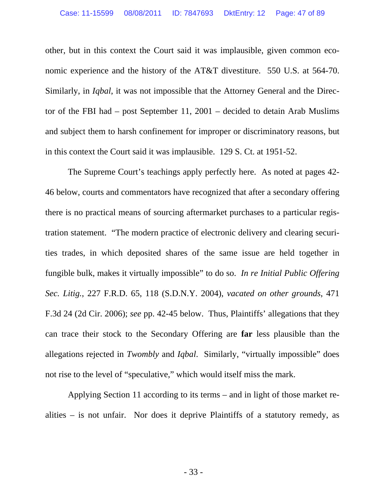other, but in this context the Court said it was implausible, given common economic experience and the history of the AT&T divestiture. 550 U.S. at 564-70. Similarly, in *Iqbal*, it was not impossible that the Attorney General and the Director of the FBI had – post September 11, 2001 – decided to detain Arab Muslims and subject them to harsh confinement for improper or discriminatory reasons, but in this context the Court said it was implausible. 129 S. Ct. at 1951-52.

The Supreme Court's teachings apply perfectly here. As noted at pages 42- 46 below, courts and commentators have recognized that after a secondary offering there is no practical means of sourcing aftermarket purchases to a particular registration statement. "The modern practice of electronic delivery and clearing securities trades, in which deposited shares of the same issue are held together in fungible bulk, makes it virtually impossible" to do so. *In re Initial Public Offering Sec. Litig.*, 227 F.R.D. 65, 118 (S.D.N.Y. 2004), *vacated on other grounds*, 471 F.3d 24 (2d Cir. 2006); *see* pp. 42-45 below. Thus, Plaintiffs' allegations that they can trace their stock to the Secondary Offering are **far** less plausible than the allegations rejected in *Twombly* and *Iqbal*. Similarly, "virtually impossible" does not rise to the level of "speculative," which would itself miss the mark.

Applying Section 11 according to its terms – and in light of those market realities – is not unfair. Nor does it deprive Plaintiffs of a statutory remedy, as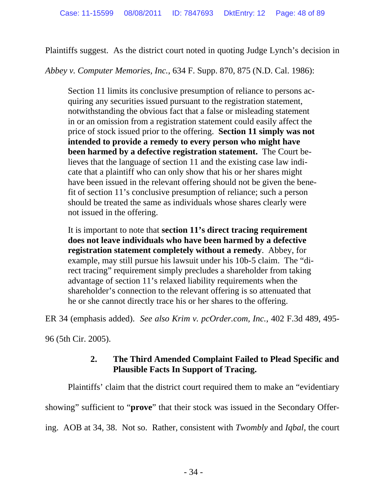Plaintiffs suggest. As the district court noted in quoting Judge Lynch's decision in

*Abbey v. Computer Memories, Inc.*, 634 F. Supp. 870, 875 (N.D. Cal. 1986):

Section 11 limits its conclusive presumption of reliance to persons acquiring any securities issued pursuant to the registration statement, notwithstanding the obvious fact that a false or misleading statement in or an omission from a registration statement could easily affect the price of stock issued prior to the offering. **Section 11 simply was not intended to provide a remedy to every person who might have been harmed by a defective registration statement.** The Court believes that the language of section 11 and the existing case law indicate that a plaintiff who can only show that his or her shares might have been issued in the relevant offering should not be given the benefit of section 11's conclusive presumption of reliance; such a person should be treated the same as individuals whose shares clearly were not issued in the offering.

It is important to note that **section 11's direct tracing requirement does not leave individuals who have been harmed by a defective registration statement completely without a remedy**. Abbey, for example, may still pursue his lawsuit under his 10b-5 claim. The "direct tracing" requirement simply precludes a shareholder from taking advantage of section 11's relaxed liability requirements when the shareholder's connection to the relevant offering is so attenuated that he or she cannot directly trace his or her shares to the offering.

ER 34 (emphasis added). *See also Krim v. pcOrder.com, Inc.*, 402 F.3d 489, 495-

96 (5th Cir. 2005).

# **2. The Third Amended Complaint Failed to Plead Specific and Plausible Facts In Support of Tracing.**

Plaintiffs' claim that the district court required them to make an "evidentiary showing" sufficient to "**prove**" that their stock was issued in the Secondary Offering. AOB at 34, 38. Not so. Rather, consistent with *Twombly* and *Iqbal*, the court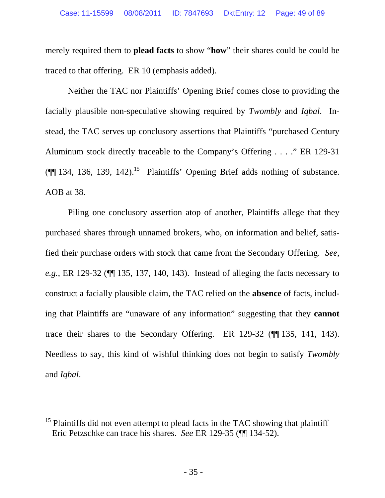merely required them to **plead facts** to show "**how**" their shares could be could be traced to that offering. ER 10 (emphasis added).

Neither the TAC nor Plaintiffs' Opening Brief comes close to providing the facially plausible non-speculative showing required by *Twombly* and *Iqbal*. Instead, the TAC serves up conclusory assertions that Plaintiffs "purchased Century Aluminum stock directly traceable to the Company's Offering . . . ." ER 129-31  $(\P\P 134, 136, 139, 142).$ <sup>15</sup> Plaintiffs' Opening Brief adds nothing of substance. AOB at 38.

Piling one conclusory assertion atop of another, Plaintiffs allege that they purchased shares through unnamed brokers, who, on information and belief, satisfied their purchase orders with stock that came from the Secondary Offering. *See, e.g.,* ER 129-32 (¶¶ 135, 137, 140, 143). Instead of alleging the facts necessary to construct a facially plausible claim, the TAC relied on the **absence** of facts, including that Plaintiffs are "unaware of any information" suggesting that they **cannot** trace their shares to the Secondary Offering. ER 129-32 (¶¶ 135, 141, 143). Needless to say, this kind of wishful thinking does not begin to satisfy *Twombly* and *Iqbal*.

l  $15$  Plaintiffs did not even attempt to plead facts in the TAC showing that plaintiff Eric Petzschke can trace his shares. *See* ER 129-35 (¶¶ 134-52).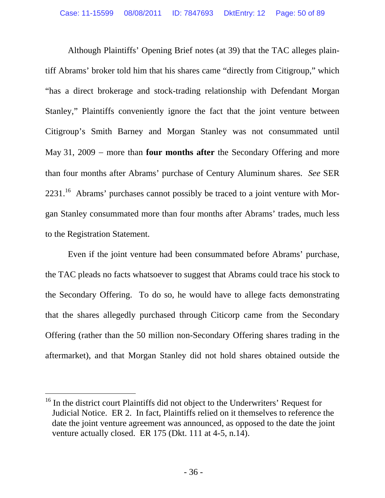Although Plaintiffs' Opening Brief notes (at 39) that the TAC alleges plaintiff Abrams' broker told him that his shares came "directly from Citigroup," which "has a direct brokerage and stock-trading relationship with Defendant Morgan Stanley," Plaintiffs conveniently ignore the fact that the joint venture between Citigroup's Smith Barney and Morgan Stanley was not consummated until May 31, 2009 – more than **four months after** the Secondary Offering and more than four months after Abrams' purchase of Century Aluminum shares. *See* SER  $2231<sup>16</sup>$  Abrams' purchases cannot possibly be traced to a joint venture with Morgan Stanley consummated more than four months after Abrams' trades, much less to the Registration Statement.

Even if the joint venture had been consummated before Abrams' purchase, the TAC pleads no facts whatsoever to suggest that Abrams could trace his stock to the Secondary Offering. To do so, he would have to allege facts demonstrating that the shares allegedly purchased through Citicorp came from the Secondary Offering (rather than the 50 million non-Secondary Offering shares trading in the aftermarket), and that Morgan Stanley did not hold shares obtained outside the

-

<sup>&</sup>lt;sup>16</sup> In the district court Plaintiffs did not object to the Underwriters' Request for Judicial Notice. ER 2. In fact, Plaintiffs relied on it themselves to reference the date the joint venture agreement was announced, as opposed to the date the joint venture actually closed. ER 175 (Dkt. 111 at 4-5, n.14).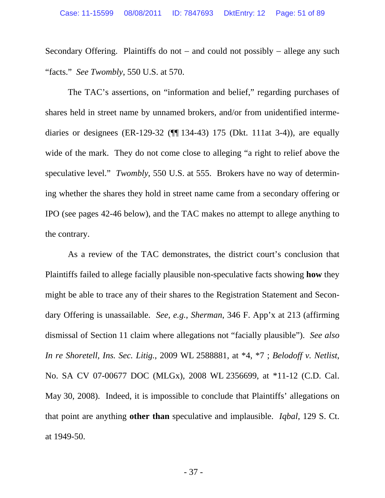Secondary Offering. Plaintiffs do not  $-$  and could not possibly  $-$  allege any such "facts." *See Twombly*, 550 U.S. at 570.

The TAC's assertions, on "information and belief," regarding purchases of shares held in street name by unnamed brokers, and/or from unidentified intermediaries or designees (ER-129-32 (¶¶ 134-43) 175 (Dkt. 111at 3-4)), are equally wide of the mark. They do not come close to alleging "a right to relief above the speculative level." *Twombly*, 550 U.S. at 555. Brokers have no way of determining whether the shares they hold in street name came from a secondary offering or IPO (see pages 42-46 below), and the TAC makes no attempt to allege anything to the contrary.

As a review of the TAC demonstrates, the district court's conclusion that Plaintiffs failed to allege facially plausible non-speculative facts showing **how** they might be able to trace any of their shares to the Registration Statement and Secondary Offering is unassailable. *See, e.g., Sherman*, 346 F. App'x at 213 (affirming dismissal of Section 11 claim where allegations not "facially plausible"). *See also In re Shoretell, Ins. Sec. Litig.*, 2009 WL 2588881, at \*4, \*7 ; *Belodoff v. Netlist*, No. SA CV 07-00677 DOC (MLGx), 2008 WL 2356699, at \*11-12 (C.D. Cal. May 30, 2008). Indeed, it is impossible to conclude that Plaintiffs' allegations on that point are anything **other than** speculative and implausible. *Iqbal*, 129 S. Ct. at 1949-50.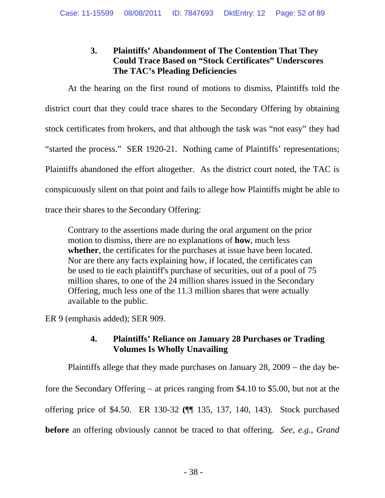# **3. Plaintiffs' Abandonment of The Contention That They Could Trace Based on "Stock Certificates" Underscores The TAC's Pleading Deficiencies**

At the hearing on the first round of motions to dismiss, Plaintiffs told the district court that they could trace shares to the Secondary Offering by obtaining stock certificates from brokers, and that although the task was "not easy" they had "started the process." SER 1920-21. Nothing came of Plaintiffs' representations; Plaintiffs abandoned the effort altogether. As the district court noted, the TAC is conspicuously silent on that point and fails to allege how Plaintiffs might be able to trace their shares to the Secondary Offering:

Contrary to the assertions made during the oral argument on the prior motion to dismiss, there are no explanations of **how**, much less **whether**, the certificates for the purchases at issue have been located. Nor are there any facts explaining how, if located, the certificates can be used to tie each plaintiff's purchase of securities, out of a pool of 75 million shares, to one of the 24 million shares issued in the Secondary Offering, much less one of the 11.3 million shares that were actually available to the public.

ER 9 (emphasis added); SER 909.

## **4. Plaintiffs' Reliance on January 28 Purchases or Trading Volumes Is Wholly Unavailing**

Plaintiffs allege that they made purchases on January  $28$ ,  $2009 -$  the day before the Secondary Offering  $-$  at prices ranging from \$4.10 to \$5.00, but not at the offering price of \$4.50. ER 130-32 **(**¶¶ 135, 137, 140, 143). Stock purchased **before** an offering obviously cannot be traced to that offering. *See, e.g*.*, Grand*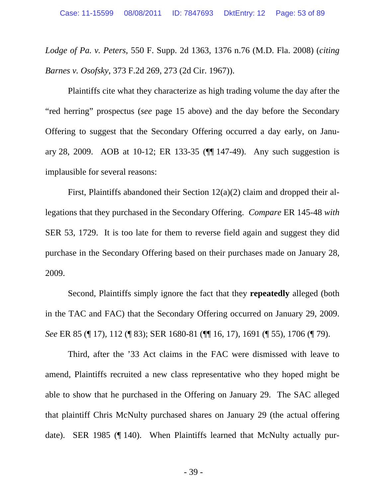*Lodge of Pa. v. Peters*, 550 F. Supp. 2d 1363, 1376 n.76 (M.D. Fla. 2008) (*citing Barnes v. Osofsky*, 373 F.2d 269, 273 (2d Cir. 1967)).

Plaintiffs cite what they characterize as high trading volume the day after the "red herring" prospectus (*see* page 15 above) and the day before the Secondary Offering to suggest that the Secondary Offering occurred a day early, on January 28, 2009. AOB at 10-12; ER 133-35 (¶¶ 147-49). Any such suggestion is implausible for several reasons:

First, Plaintiffs abandoned their Section 12(a)(2) claim and dropped their allegations that they purchased in the Secondary Offering. *Compare* ER 145-48 *with* SER 53, 1729. It is too late for them to reverse field again and suggest they did purchase in the Secondary Offering based on their purchases made on January 28, 2009.

Second, Plaintiffs simply ignore the fact that they **repeatedly** alleged (both in the TAC and FAC) that the Secondary Offering occurred on January 29, 2009. *See* ER 85 (¶ 17), 112 (¶ 83); SER 1680-81 (¶¶ 16, 17), 1691 (¶ 55), 1706 (¶ 79).

Third, after the '33 Act claims in the FAC were dismissed with leave to amend, Plaintiffs recruited a new class representative who they hoped might be able to show that he purchased in the Offering on January 29. The SAC alleged that plaintiff Chris McNulty purchased shares on January 29 (the actual offering date). SER 1985 (¶ 140). When Plaintiffs learned that McNulty actually pur-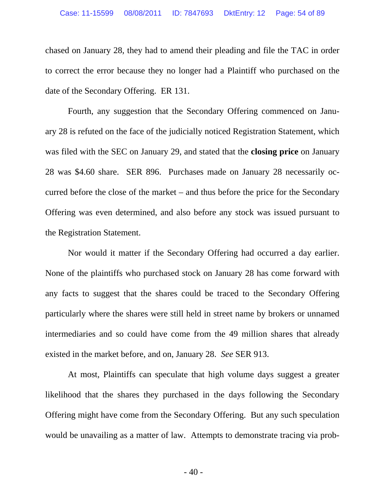chased on January 28, they had to amend their pleading and file the TAC in order to correct the error because they no longer had a Plaintiff who purchased on the date of the Secondary Offering. ER 131.

Fourth, any suggestion that the Secondary Offering commenced on January 28 is refuted on the face of the judicially noticed Registration Statement, which was filed with the SEC on January 29, and stated that the **closing price** on January 28 was \$4.60 share. SER 896. Purchases made on January 28 necessarily occurred before the close of the market – and thus before the price for the Secondary Offering was even determined, and also before any stock was issued pursuant to the Registration Statement.

Nor would it matter if the Secondary Offering had occurred a day earlier. None of the plaintiffs who purchased stock on January 28 has come forward with any facts to suggest that the shares could be traced to the Secondary Offering particularly where the shares were still held in street name by brokers or unnamed intermediaries and so could have come from the 49 million shares that already existed in the market before, and on, January 28. *See* SER 913.

At most, Plaintiffs can speculate that high volume days suggest a greater likelihood that the shares they purchased in the days following the Secondary Offering might have come from the Secondary Offering. But any such speculation would be unavailing as a matter of law. Attempts to demonstrate tracing via prob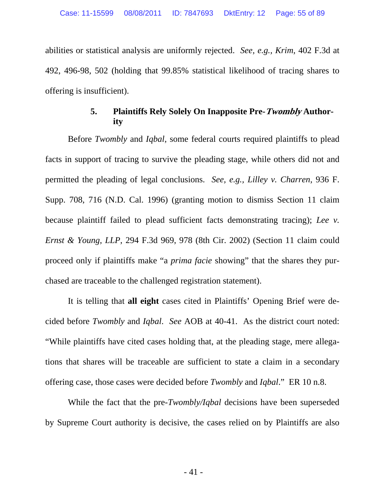abilities or statistical analysis are uniformly rejected. *See, e.g., Krim*, 402 F.3d at 492, 496-98, 502 (holding that 99.85% statistical likelihood of tracing shares to offering is insufficient).

## **5. Plaintiffs Rely Solely On Inapposite Pre-Twombly Authority**

Before *Twombly* and *Iqbal*, some federal courts required plaintiffs to plead facts in support of tracing to survive the pleading stage, while others did not and permitted the pleading of legal conclusions. *See, e.g., Lilley v. Charren*, 936 F. Supp. 708, 716 (N.D. Cal. 1996) (granting motion to dismiss Section 11 claim because plaintiff failed to plead sufficient facts demonstrating tracing); *Lee v. Ernst & Young, LLP*, 294 F.3d 969, 978 (8th Cir. 2002) (Section 11 claim could proceed only if plaintiffs make "a *prima facie* showing" that the shares they purchased are traceable to the challenged registration statement).

It is telling that **all eight** cases cited in Plaintiffs' Opening Brief were decided before *Twombly* and *Iqbal*. *See* AOB at 40-41. As the district court noted: "While plaintiffs have cited cases holding that, at the pleading stage, mere allegations that shares will be traceable are sufficient to state a claim in a secondary offering case, those cases were decided before *Twombly* and *Iqbal*." ER 10 n.8.

While the fact that the pre-*Twombly/Iqbal* decisions have been superseded by Supreme Court authority is decisive, the cases relied on by Plaintiffs are also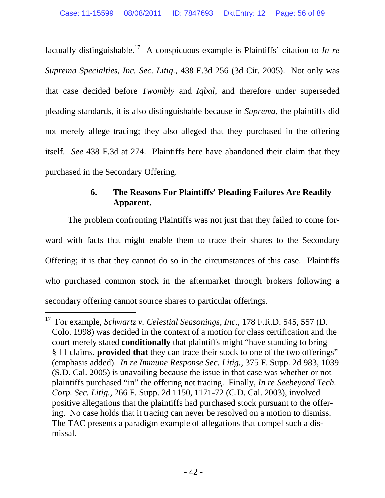factually distinguishable.17 A conspicuous example is Plaintiffs' citation to *In re Suprema Specialties, Inc. Sec. Litig.*, 438 F.3d 256 (3d Cir. 2005). Not only was that case decided before *Twombly* and *Iqbal*, and therefore under superseded pleading standards, it is also distinguishable because in *Suprema*, the plaintiffs did not merely allege tracing; they also alleged that they purchased in the offering itself. *See* 438 F.3d at 274. Plaintiffs here have abandoned their claim that they purchased in the Secondary Offering.

# **6. The Reasons For Plaintiffs' Pleading Failures Are Readily Apparent.**

The problem confronting Plaintiffs was not just that they failed to come forward with facts that might enable them to trace their shares to the Secondary Offering; it is that they cannot do so in the circumstances of this case. Plaintiffs who purchased common stock in the aftermarket through brokers following a secondary offering cannot source shares to particular offerings.

-

<sup>17</sup> For example, *Schwartz v. Celestial Seasonings, Inc.*, 178 F.R.D. 545, 557 (D. Colo. 1998) was decided in the context of a motion for class certification and the court merely stated **conditionally** that plaintiffs might "have standing to bring § 11 claims, **provided that** they can trace their stock to one of the two offerings" (emphasis added). *In re Immune Response Sec. Litig.*, 375 F. Supp. 2d 983, 1039 (S.D. Cal. 2005) is unavailing because the issue in that case was whether or not plaintiffs purchased "in" the offering not tracing. Finally, *In re Seebeyond Tech. Corp. Sec. Litig.*, 266 F. Supp. 2d 1150, 1171-72 (C.D. Cal. 2003), involved positive allegations that the plaintiffs had purchased stock pursuant to the offering. No case holds that it tracing can never be resolved on a motion to dismiss. The TAC presents a paradigm example of allegations that compel such a dismissal.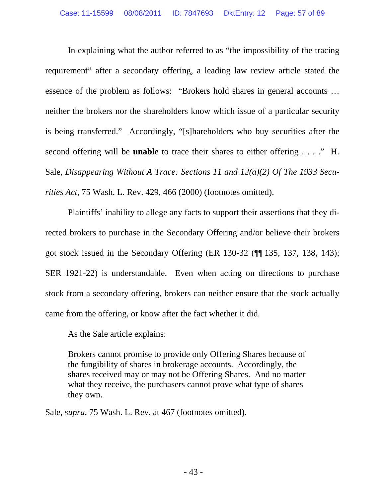In explaining what the author referred to as "the impossibility of the tracing requirement" after a secondary offering, a leading law review article stated the essence of the problem as follows: "Brokers hold shares in general accounts … neither the brokers nor the shareholders know which issue of a particular security is being transferred." Accordingly, "[s]hareholders who buy securities after the second offering will be **unable** to trace their shares to either offering . . . ." H. Sale, *Disappearing Without A Trace: Sections 11 and 12(a)(2) Of The 1933 Securities Act*, 75 Wash. L. Rev. 429, 466 (2000) (footnotes omitted).

Plaintiffs' inability to allege any facts to support their assertions that they directed brokers to purchase in the Secondary Offering and/or believe their brokers got stock issued in the Secondary Offering (ER 130-32 (¶¶ 135, 137, 138, 143); SER 1921-22) is understandable. Even when acting on directions to purchase stock from a secondary offering, brokers can neither ensure that the stock actually came from the offering, or know after the fact whether it did.

As the Sale article explains:

Brokers cannot promise to provide only Offering Shares because of the fungibility of shares in brokerage accounts. Accordingly, the shares received may or may not be Offering Shares. And no matter what they receive, the purchasers cannot prove what type of shares they own.

Sale, *supra*, 75 Wash. L. Rev. at 467 (footnotes omitted).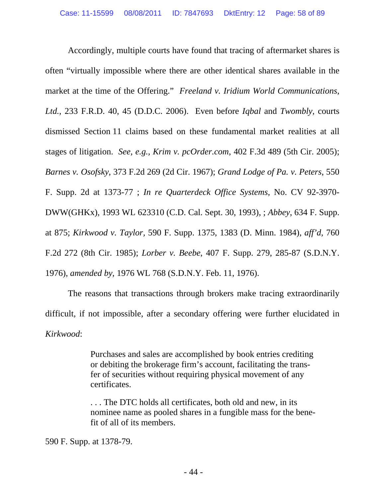Accordingly, multiple courts have found that tracing of aftermarket shares is often "virtually impossible where there are other identical shares available in the market at the time of the Offering." *Freeland v. Iridium World Communications, Ltd.*, 233 F.R.D. 40, 45 (D.D.C. 2006). Even before *Iqbal* and *Twombly*, courts dismissed Section 11 claims based on these fundamental market realities at all stages of litigation. *See, e.g., Krim v. pcOrder.com*, 402 F.3d 489 (5th Cir. 2005); *Barnes v. Osofsky*, 373 F.2d 269 (2d Cir. 1967); *Grand Lodge of Pa. v. Peters*, 550 F. Supp. 2d at 1373-77 ; *In re Quarterdeck Office Systems*, No. CV 92-3970- DWW(GHKx), 1993 WL 623310 (C.D. Cal. Sept. 30, 1993), ; *Abbey*, 634 F. Supp. at 875; *Kirkwood v. Taylor,* 590 F. Supp. 1375, 1383 (D. Minn. 1984), *aff'd*, 760 F.2d 272 (8th Cir. 1985); *Lorber v. Beebe*, 407 F. Supp. 279, 285-87 (S.D.N.Y. 1976), *amended by*, 1976 WL 768 (S.D.N.Y. Feb. 11, 1976).

The reasons that transactions through brokers make tracing extraordinarily difficult, if not impossible, after a secondary offering were further elucidated in *Kirkwood*:

> Purchases and sales are accomplished by book entries crediting or debiting the brokerage firm's account, facilitating the transfer of securities without requiring physical movement of any certificates.

. . . The DTC holds all certificates, both old and new, in its nominee name as pooled shares in a fungible mass for the benefit of all of its members.

590 F. Supp. at 1378-79.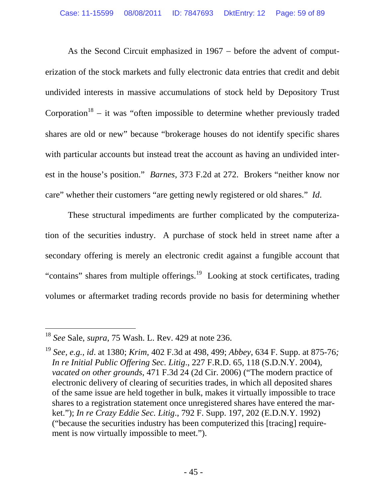As the Second Circuit emphasized in 1967 – before the advent of computerization of the stock markets and fully electronic data entries that credit and debit undivided interests in massive accumulations of stock held by Depository Trust Corporation<sup>18</sup> – it was "often impossible to determine whether previously traded shares are old or new" because "brokerage houses do not identify specific shares with particular accounts but instead treat the account as having an undivided interest in the house's position." *Barnes*, 373 F.2d at 272. Brokers "neither know nor care" whether their customers "are getting newly registered or old shares." *Id*.

These structural impediments are further complicated by the computerization of the securities industry. A purchase of stock held in street name after a secondary offering is merely an electronic credit against a fungible account that "contains" shares from multiple offerings.<sup>19</sup> Looking at stock certificates, trading volumes or aftermarket trading records provide no basis for determining whether

 $\overline{a}$ <sup>18</sup> *See* Sale, *supra*, 75 Wash. L. Rev. 429 at note 236.

<sup>19</sup> *See, e.g., id*. at 1380; *Krim,* 402 F.3d at 498, 499; *Abbey*, 634 F. Supp. at 875-76*; In re Initial Public Offering Sec. Litig*., 227 F.R.D. 65, 118 (S.D.N.Y. 2004), *vacated on other grounds*, 471 F.3d 24 (2d Cir. 2006) ("The modern practice of electronic delivery of clearing of securities trades, in which all deposited shares of the same issue are held together in bulk, makes it virtually impossible to trace shares to a registration statement once unregistered shares have entered the market."); *In re Crazy Eddie Sec. Litig*., 792 F. Supp. 197, 202 (E.D.N.Y. 1992) ("because the securities industry has been computerized this [tracing] requirement is now virtually impossible to meet.").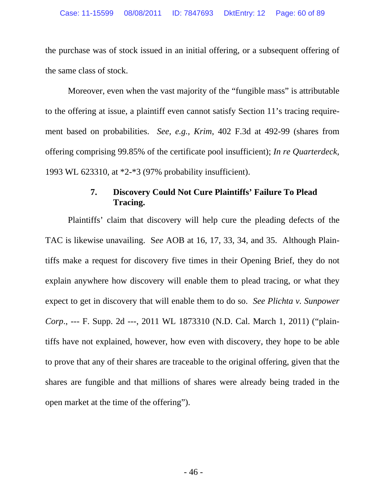the purchase was of stock issued in an initial offering, or a subsequent offering of the same class of stock.

Moreover, even when the vast majority of the "fungible mass" is attributable to the offering at issue, a plaintiff even cannot satisfy Section 11's tracing requirement based on probabilities. *See, e.g., Krim*, 402 F.3d at 492-99 (shares from offering comprising 99.85% of the certificate pool insufficient); *In re Quarterdeck,* 1993 WL 623310, at \*2-\*3 (97% probability insufficient).

## **7. Discovery Could Not Cure Plaintiffs' Failure To Plead Tracing.**

Plaintiffs' claim that discovery will help cure the pleading defects of the TAC is likewise unavailing. S*ee* AOB at 16, 17, 33, 34, and 35. Although Plaintiffs make a request for discovery five times in their Opening Brief, they do not explain anywhere how discovery will enable them to plead tracing, or what they expect to get in discovery that will enable them to do so. *See Plichta v. Sunpower Corp*., --- F. Supp. 2d ---, 2011 WL 1873310 (N.D. Cal. March 1, 2011) ("plaintiffs have not explained, however, how even with discovery, they hope to be able to prove that any of their shares are traceable to the original offering, given that the shares are fungible and that millions of shares were already being traded in the open market at the time of the offering").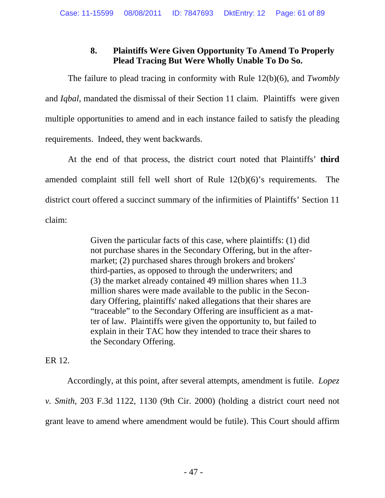# **8. Plaintiffs Were Given Opportunity To Amend To Properly Plead Tracing But Were Wholly Unable To Do So.**

The failure to plead tracing in conformity with Rule 12(b)(6), and *Twombly* and *Iqbal*, mandated the dismissal of their Section 11 claim. Plaintiffs were given multiple opportunities to amend and in each instance failed to satisfy the pleading requirements. Indeed, they went backwards.

At the end of that process, the district court noted that Plaintiffs' **third** amended complaint still fell well short of Rule 12(b)(6)'s requirements. The district court offered a succinct summary of the infirmities of Plaintiffs' Section 11 claim:

> Given the particular facts of this case, where plaintiffs: (1) did not purchase shares in the Secondary Offering, but in the aftermarket; (2) purchased shares through brokers and brokers' third-parties, as opposed to through the underwriters; and (3) the market already contained 49 million shares when 11.3 million shares were made available to the public in the Secondary Offering, plaintiffs' naked allegations that their shares are "traceable" to the Secondary Offering are insufficient as a matter of law. Plaintiffs were given the opportunity to, but failed to explain in their TAC how they intended to trace their shares to the Secondary Offering.

ER 12.

Accordingly, at this point, after several attempts, amendment is futile. *Lopez v. Smith*, 203 F.3d 1122, 1130 (9th Cir. 2000) (holding a district court need not grant leave to amend where amendment would be futile). This Court should affirm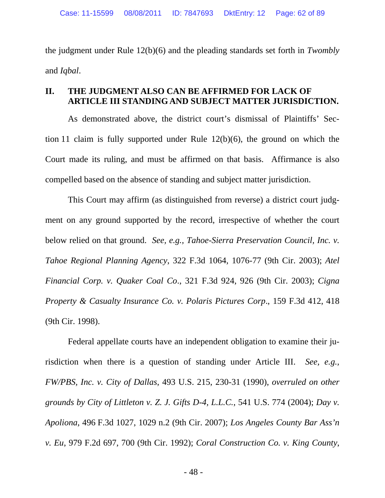the judgment under Rule 12(b)(6) and the pleading standards set forth in *Twombly* and *Iqbal*.

# **II. THE JUDGMENT ALSO CAN BE AFFIRMED FOR LACK OF ARTICLE III STANDING AND SUBJECT MATTER JURISDICTION.**

As demonstrated above, the district court's dismissal of Plaintiffs' Section 11 claim is fully supported under Rule 12(b)(6), the ground on which the Court made its ruling, and must be affirmed on that basis. Affirmance is also compelled based on the absence of standing and subject matter jurisdiction.

This Court may affirm (as distinguished from reverse) a district court judgment on any ground supported by the record, irrespective of whether the court below relied on that ground. *See, e.g., Tahoe-Sierra Preservation Council, Inc. v. Tahoe Regional Planning Agency*, 322 F.3d 1064, 1076-77 (9th Cir. 2003); *Atel Financial Corp. v. Quaker Coal Co*., 321 F.3d 924, 926 (9th Cir. 2003); *Cigna Property & Casualty Insurance Co. v. Polaris Pictures Corp*., 159 F.3d 412, 418 (9th Cir. 1998).

Federal appellate courts have an independent obligation to examine their jurisdiction when there is a question of standing under Article III. *See, e.g., FW/PBS, Inc. v. City of Dallas*, 493 U.S. 215, 230-31 (1990), *overruled on other grounds by City of Littleton v. Z. J. Gifts D-4, L.L.C.*, 541 U.S. 774 (2004); *Day v. Apoliona*, 496 F.3d 1027, 1029 n.2 (9th Cir. 2007); *Los Angeles County Bar Ass'n v. Eu*, 979 F.2d 697, 700 (9th Cir. 1992); *Coral Construction Co. v. King County*,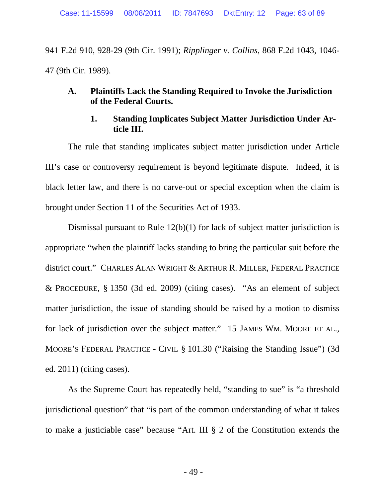941 F.2d 910, 928-29 (9th Cir. 1991); *Ripplinger v. Collins*, 868 F.2d 1043, 1046- 47 (9th Cir. 1989).

## **A. Plaintiffs Lack the Standing Required to Invoke the Jurisdiction of the Federal Courts.**

## **1. Standing Implicates Subject Matter Jurisdiction Under Article III.**

The rule that standing implicates subject matter jurisdiction under Article III's case or controversy requirement is beyond legitimate dispute. Indeed, it is black letter law, and there is no carve-out or special exception when the claim is brought under Section 11 of the Securities Act of 1933.

Dismissal pursuant to Rule 12(b)(1) for lack of subject matter jurisdiction is appropriate "when the plaintiff lacks standing to bring the particular suit before the district court." CHARLES ALAN WRIGHT & ARTHUR R. MILLER, FEDERAL PRACTICE & PROCEDURE, § 1350 (3d ed. 2009) (citing cases). "As an element of subject matter jurisdiction, the issue of standing should be raised by a motion to dismiss for lack of jurisdiction over the subject matter." 15 JAMES WM. MOORE ET AL., MOORE'S FEDERAL PRACTICE - CIVIL § 101.30 ("Raising the Standing Issue") (3d ed. 2011) (citing cases).

As the Supreme Court has repeatedly held, "standing to sue" is "a threshold jurisdictional question" that "is part of the common understanding of what it takes to make a justiciable case" because "Art. III § 2 of the Constitution extends the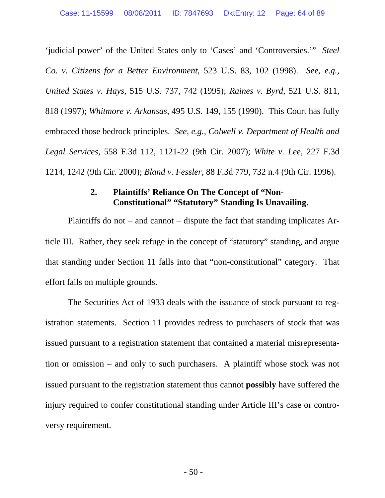'judicial power' of the United States only to 'Cases' and 'Controversies.'" *Steel Co. v. Citizens for a Better Environment*, 523 U.S. 83, 102 (1998). *See, e.g., United States v. Hays*, 515 U.S. 737, 742 (1995); *Raines v. Byrd*, 521 U.S. 811, 818 (1997); *Whitmore v. Arkansas*, 495 U.S. 149, 155 (1990). This Court has fully embraced those bedrock principles. *See, e.g., Colwell v. Department of Health and Legal Services*, 558 F.3d 112, 1121-22 (9th Cir. 2007); *White v. Lee*, 227 F.3d 1214, 1242 (9th Cir. 2000); *Bland v. Fessler*, 88 F.3d 779, 732 n.4 (9th Cir. 1996).

## **2. Plaintiffs' Reliance On The Concept of "Non-Constitutional" "Statutory" Standing Is Unavailing.**

Plaintiffs do not  $-$  and cannot  $-$  dispute the fact that standing implicates Article III. Rather, they seek refuge in the concept of "statutory" standing, and argue that standing under Section 11 falls into that "non-constitutional" category. That effort fails on multiple grounds.

The Securities Act of 1933 deals with the issuance of stock pursuant to registration statements. Section 11 provides redress to purchasers of stock that was issued pursuant to a registration statement that contained a material misrepresentation or omission  $-$  and only to such purchasers. A plaintiff whose stock was not issued pursuant to the registration statement thus cannot **possibly** have suffered the injury required to confer constitutional standing under Article III's case or controversy requirement.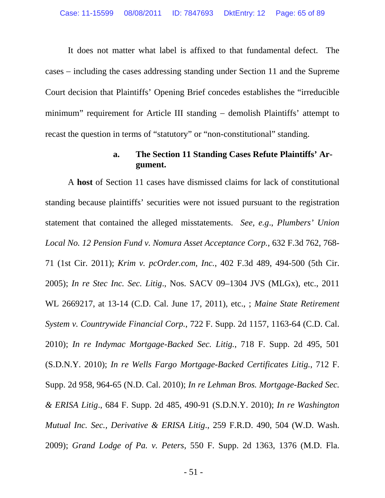It does not matter what label is affixed to that fundamental defect. The cases – including the cases addressing standing under Section 11 and the Supreme Court decision that Plaintiffs' Opening Brief concedes establishes the "irreducible minimum" requirement for Article III standing – demolish Plaintiffs' attempt to recast the question in terms of "statutory" or "non-constitutional" standing.

#### **a. The Section 11 Standing Cases Refute Plaintiffs' Argument.**

A **host** of Section 11 cases have dismissed claims for lack of constitutional standing because plaintiffs' securities were not issued pursuant to the registration statement that contained the alleged misstatements. *See, e.g*., *Plumbers' Union Local No. 12 Pension Fund v. Nomura Asset Acceptance Corp.*, 632 F.3d 762, 768- 71 (1st Cir. 2011); *Krim v. pcOrder.com, Inc.*, 402 F.3d 489, 494-500 (5th Cir. 2005); *In re Stec Inc. Sec. Litig*., Nos. SACV 09–1304 JVS (MLGx), etc., 2011 WL 2669217, at 13-14 (C.D. Cal. June 17, 2011), etc., ; *Maine State Retirement System v. Countrywide Financial Corp.*, 722 F. Supp. 2d 1157, 1163-64 (C.D. Cal. 2010); *In re Indymac Mortgage-Backed Sec. Litig.*, 718 F. Supp. 2d 495, 501 (S.D.N.Y. 2010); *In re Wells Fargo Mortgage-Backed Certificates Litig.*, 712 F. Supp. 2d 958, 964-65 (N.D. Cal. 2010); *In re Lehman Bros. Mortgage-Backed Sec. & ERISA Litig*., 684 F. Supp. 2d 485, 490-91 (S.D.N.Y. 2010); *In re Washington Mutual Inc. Sec., Derivative & ERISA Litig*., 259 F.R.D. 490, 504 (W.D. Wash. 2009); *Grand Lodge of Pa. v. Peters*, 550 F. Supp. 2d 1363, 1376 (M.D. Fla.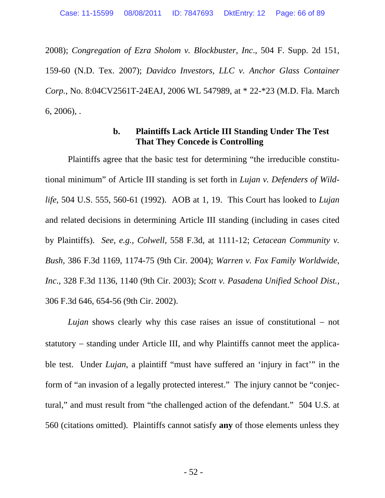2008); *Congregation of Ezra Sholom v. Blockbuster, Inc*., 504 F. Supp. 2d 151, 159-60 (N.D. Tex. 2007); *Davidco Investors, LLC v. Anchor Glass Container Corp.*, No. 8:04CV2561T-24EAJ, 2006 WL 547989, at \* 22-\*23 (M.D. Fla. March  $6, 2006$ , .

#### **b. Plaintiffs Lack Article III Standing Under The Test That They Concede is Controlling**

Plaintiffs agree that the basic test for determining "the irreducible constitutional minimum" of Article III standing is set forth in *Lujan v. Defenders of Wildlife*, 504 U.S. 555, 560-61 (1992). AOB at 1, 19. This Court has looked to *Lujan* and related decisions in determining Article III standing (including in cases cited by Plaintiffs). *See, e.g., Colwell*, 558 F.3d, at 1111-12; *Cetacean Community v. Bush*, 386 F.3d 1169, 1174-75 (9th Cir. 2004); *Warren v. Fox Family Worldwide, Inc*., 328 F.3d 1136, 1140 (9th Cir. 2003); *Scott v. Pasadena Unified School Dist.*, 306 F.3d 646, 654-56 (9th Cir. 2002).

*Lujan* shows clearly why this case raises an issue of constitutional – not statutory - standing under Article III, and why Plaintiffs cannot meet the applicable test. Under *Lujan*, a plaintiff "must have suffered an 'injury in fact'" in the form of "an invasion of a legally protected interest." The injury cannot be "conjectural," and must result from "the challenged action of the defendant." 504 U.S. at 560 (citations omitted). Plaintiffs cannot satisfy **any** of those elements unless they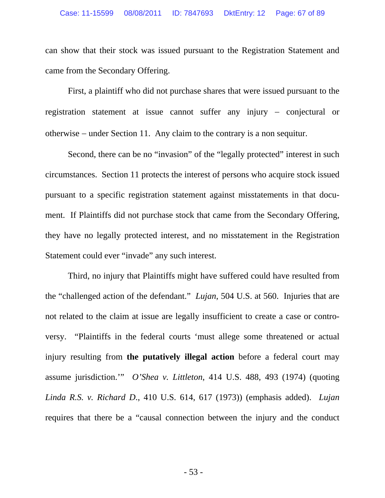can show that their stock was issued pursuant to the Registration Statement and came from the Secondary Offering.

First, a plaintiff who did not purchase shares that were issued pursuant to the registration statement at issue cannot suffer any injury – conjectural or otherwise  $-$  under Section 11. Any claim to the contrary is a non sequitur.

Second, there can be no "invasion" of the "legally protected" interest in such circumstances. Section 11 protects the interest of persons who acquire stock issued pursuant to a specific registration statement against misstatements in that document. If Plaintiffs did not purchase stock that came from the Secondary Offering, they have no legally protected interest, and no misstatement in the Registration Statement could ever "invade" any such interest.

Third, no injury that Plaintiffs might have suffered could have resulted from the "challenged action of the defendant." *Lujan*, 504 U.S. at 560. Injuries that are not related to the claim at issue are legally insufficient to create a case or controversy. "Plaintiffs in the federal courts 'must allege some threatened or actual injury resulting from **the putatively illegal action** before a federal court may assume jurisdiction.'" *O'Shea v. Littleton*, 414 U.S. 488, 493 (1974) (quoting *Linda R.S. v. Richard D*., 410 U.S. 614, 617 (1973)) (emphasis added). *Lujan* requires that there be a "causal connection between the injury and the conduct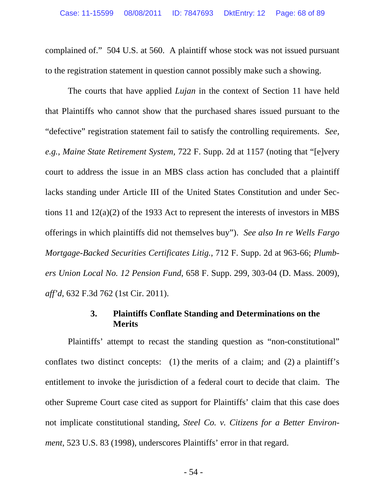complained of." 504 U.S. at 560. A plaintiff whose stock was not issued pursuant to the registration statement in question cannot possibly make such a showing.

The courts that have applied *Lujan* in the context of Section 11 have held that Plaintiffs who cannot show that the purchased shares issued pursuant to the "defective" registration statement fail to satisfy the controlling requirements. *See, e.g., Maine State Retirement System,* 722 F. Supp. 2d at 1157 (noting that "[e]very court to address the issue in an MBS class action has concluded that a plaintiff lacks standing under Article III of the United States Constitution and under Sections 11 and 12(a)(2) of the 1933 Act to represent the interests of investors in MBS offerings in which plaintiffs did not themselves buy"). *See also In re Wells Fargo Mortgage-Backed Securities Certificates Litig.*, 712 F. Supp. 2d at 963-66; *Plumbers Union Local No. 12 Pension Fund*, 658 F. Supp. 299, 303-04 (D. Mass. 2009), *aff'd*, 632 F.3d 762 (1st Cir. 2011).

#### **3. Plaintiffs Conflate Standing and Determinations on the Merits**

Plaintiffs' attempt to recast the standing question as "non-constitutional" conflates two distinct concepts: (1) the merits of a claim; and (2) a plaintiff's entitlement to invoke the jurisdiction of a federal court to decide that claim. The other Supreme Court case cited as support for Plaintiffs' claim that this case does not implicate constitutional standing, *Steel Co. v. Citizens for a Better Environment*, 523 U.S. 83 (1998), underscores Plaintiffs' error in that regard.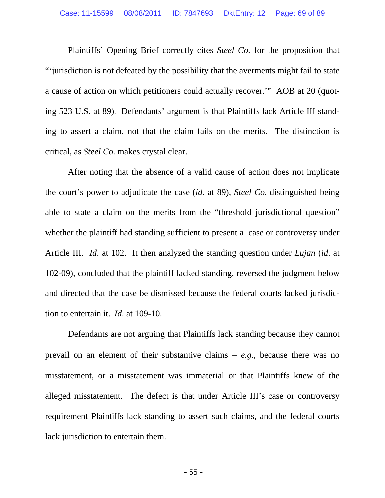Plaintiffs' Opening Brief correctly cites *Steel Co.* for the proposition that "'jurisdiction is not defeated by the possibility that the averments might fail to state a cause of action on which petitioners could actually recover.'" AOB at 20 (quoting 523 U.S. at 89). Defendants' argument is that Plaintiffs lack Article III standing to assert a claim, not that the claim fails on the merits. The distinction is critical, as *Steel Co.* makes crystal clear.

After noting that the absence of a valid cause of action does not implicate the court's power to adjudicate the case (*id*. at 89), *Steel Co.* distinguished being able to state a claim on the merits from the "threshold jurisdictional question" whether the plaintiff had standing sufficient to present a case or controversy under Article III. *Id*. at 102. It then analyzed the standing question under *Lujan* (*id*. at 102-09), concluded that the plaintiff lacked standing, reversed the judgment below and directed that the case be dismissed because the federal courts lacked jurisdiction to entertain it. *Id*. at 109-10.

Defendants are not arguing that Plaintiffs lack standing because they cannot prevail on an element of their substantive claims *e.g.,* because there was no misstatement, or a misstatement was immaterial or that Plaintiffs knew of the alleged misstatement. The defect is that under Article III's case or controversy requirement Plaintiffs lack standing to assert such claims, and the federal courts lack jurisdiction to entertain them.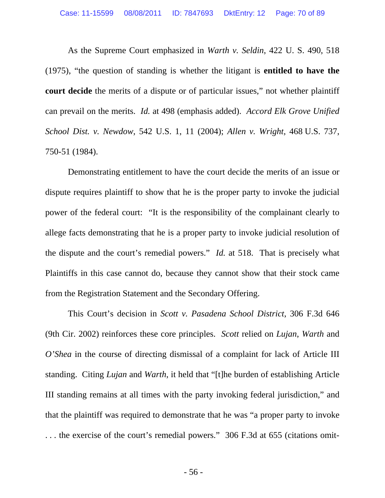As the Supreme Court emphasized in *Warth v. Seldin*, 422 U. S. 490, 518 (1975), "the question of standing is whether the litigant is **entitled to have the court decide** the merits of a dispute or of particular issues," not whether plaintiff can prevail on the merits. *Id.* at 498 (emphasis added). *Accord Elk Grove Unified School Dist. v. Newdow*, 542 U.S. 1, 11 (2004); *Allen v. Wright*, 468 U.S. 737, 750-51 (1984).

Demonstrating entitlement to have the court decide the merits of an issue or dispute requires plaintiff to show that he is the proper party to invoke the judicial power of the federal court: "It is the responsibility of the complainant clearly to allege facts demonstrating that he is a proper party to invoke judicial resolution of the dispute and the court's remedial powers." *Id.* at 518. That is precisely what Plaintiffs in this case cannot do, because they cannot show that their stock came from the Registration Statement and the Secondary Offering.

This Court's decision in *Scott v. Pasadena School District*, 306 F.3d 646 (9th Cir. 2002) reinforces these core principles. *Scott* relied on *Lujan*, *Warth* and *O'Shea* in the course of directing dismissal of a complaint for lack of Article III standing. Citing *Lujan* and *Warth*, it held that "[t]he burden of establishing Article III standing remains at all times with the party invoking federal jurisdiction," and that the plaintiff was required to demonstrate that he was "a proper party to invoke . . . the exercise of the court's remedial powers." 306 F.3d at 655 (citations omit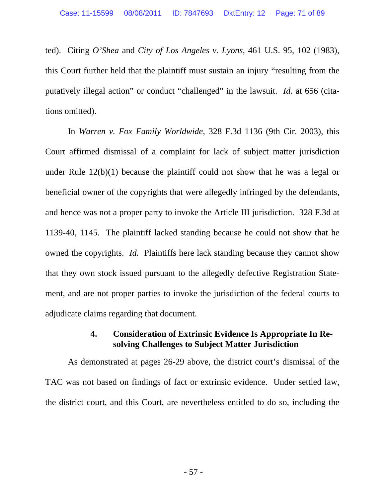ted). Citing *O'Shea* and *City of Los Angeles v. Lyons*, 461 U.S. 95, 102 (1983), this Court further held that the plaintiff must sustain an injury "resulting from the putatively illegal action" or conduct "challenged" in the lawsuit. *Id*. at 656 (citations omitted).

In *Warren v. Fox Family Worldwide*, 328 F.3d 1136 (9th Cir. 2003), this Court affirmed dismissal of a complaint for lack of subject matter jurisdiction under Rule 12(b)(1) because the plaintiff could not show that he was a legal or beneficial owner of the copyrights that were allegedly infringed by the defendants, and hence was not a proper party to invoke the Article III jurisdiction. 328 F.3d at 1139-40, 1145. The plaintiff lacked standing because he could not show that he owned the copyrights. *Id.* Plaintiffs here lack standing because they cannot show that they own stock issued pursuant to the allegedly defective Registration Statement, and are not proper parties to invoke the jurisdiction of the federal courts to adjudicate claims regarding that document.

### **4. Consideration of Extrinsic Evidence Is Appropriate In Resolving Challenges to Subject Matter Jurisdiction**

As demonstrated at pages 26-29 above, the district court's dismissal of the TAC was not based on findings of fact or extrinsic evidence. Under settled law, the district court, and this Court, are nevertheless entitled to do so, including the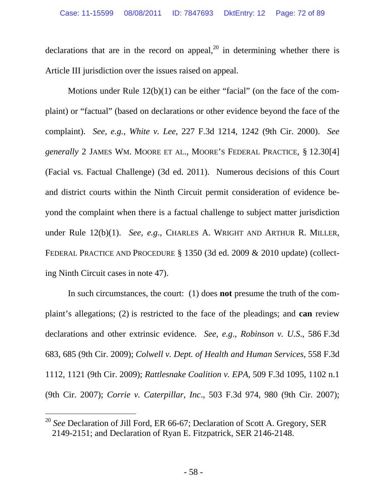declarations that are in the record on appeal,  $2^{0}$  in determining whether there is Article III jurisdiction over the issues raised on appeal.

Motions under Rule 12(b)(1) can be either "facial" (on the face of the complaint) or "factual" (based on declarations or other evidence beyond the face of the complaint). *See, e.g., White v. Lee*, 227 F.3d 1214, 1242 (9th Cir. 2000). *See generally* 2 JAMES WM. MOORE ET AL., MOORE'S FEDERAL PRACTICE, § 12.30[4] (Facial vs. Factual Challenge) (3d ed. 2011). Numerous decisions of this Court and district courts within the Ninth Circuit permit consideration of evidence beyond the complaint when there is a factual challenge to subject matter jurisdiction under Rule 12(b)(1). *See, e.g*., CHARLES A. WRIGHT AND ARTHUR R. MILLER, FEDERAL PRACTICE AND PROCEDURE § 1350 (3d ed. 2009 & 2010 update) (collecting Ninth Circuit cases in note 47).

In such circumstances, the court: (1) does **not** presume the truth of the complaint's allegations; (2) is restricted to the face of the pleadings; and **can** review declarations and other extrinsic evidence. *See, e.g*., *Robinson v. U.S*., 586 F.3d 683, 685 (9th Cir. 2009); *Colwell v. Dept. of Health and Human Services*, 558 F.3d 1112, 1121 (9th Cir. 2009); *Rattlesnake Coalition v. EPA*, 509 F.3d 1095, 1102 n.1 (9th Cir. 2007); *Corrie v. Caterpillar, Inc*., 503 F.3d 974, 980 (9th Cir. 2007);

l

<sup>&</sup>lt;sup>20</sup> See Declaration of Jill Ford, ER 66-67; Declaration of Scott A. Gregory, SER 2149-2151; and Declaration of Ryan E. Fitzpatrick, SER 2146-2148.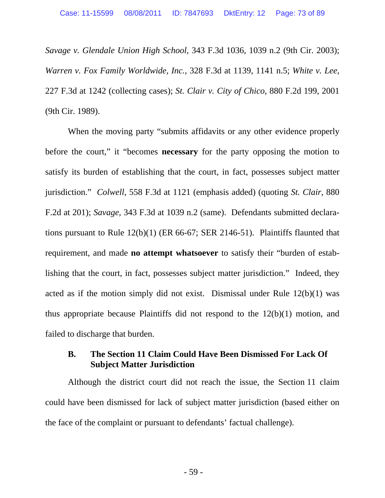*Savage v. Glendale Union High School*, 343 F.3d 1036, 1039 n.2 (9th Cir. 2003); *Warren v. Fox Family Worldwide, Inc.*, 328 F.3d at 1139, 1141 n.5; *White v. Lee*, 227 F.3d at 1242 (collecting cases); *St. Clair v. City of Chico*, 880 F.2d 199, 2001 (9th Cir. 1989).

When the moving party "submits affidavits or any other evidence properly before the court," it "becomes **necessary** for the party opposing the motion to satisfy its burden of establishing that the court, in fact, possesses subject matter jurisdiction." *Colwell*, 558 F.3d at 1121 (emphasis added) (quoting *St. Clair*, 880 F.2d at 201); *Savage*, 343 F.3d at 1039 n.2 (same). Defendants submitted declarations pursuant to Rule 12(b)(1) (ER 66-67; SER 2146-51). Plaintiffs flaunted that requirement, and made **no attempt whatsoever** to satisfy their "burden of establishing that the court, in fact, possesses subject matter jurisdiction." Indeed, they acted as if the motion simply did not exist. Dismissal under Rule 12(b)(1) was thus appropriate because Plaintiffs did not respond to the 12(b)(1) motion, and failed to discharge that burden.

## **B. The Section 11 Claim Could Have Been Dismissed For Lack Of Subject Matter Jurisdiction**

Although the district court did not reach the issue, the Section 11 claim could have been dismissed for lack of subject matter jurisdiction (based either on the face of the complaint or pursuant to defendants' factual challenge).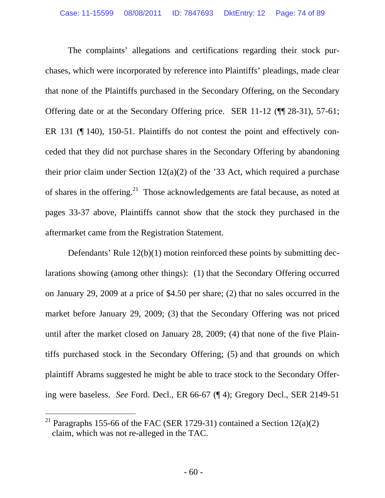The complaints' allegations and certifications regarding their stock purchases, which were incorporated by reference into Plaintiffs' pleadings, made clear that none of the Plaintiffs purchased in the Secondary Offering, on the Secondary Offering date or at the Secondary Offering price. SER 11-12 (¶¶ 28-31), 57-61; ER 131 (¶ 140), 150-51. Plaintiffs do not contest the point and effectively conceded that they did not purchase shares in the Secondary Offering by abandoning their prior claim under Section  $12(a)(2)$  of the '33 Act, which required a purchase of shares in the offering.<sup>21</sup> Those acknowledgements are fatal because, as noted at pages 33-37 above, Plaintiffs cannot show that the stock they purchased in the aftermarket came from the Registration Statement.

Defendants' Rule 12(b)(1) motion reinforced these points by submitting declarations showing (among other things): (1) that the Secondary Offering occurred on January 29, 2009 at a price of \$4.50 per share; (2) that no sales occurred in the market before January 29, 2009; (3) that the Secondary Offering was not priced until after the market closed on January 28, 2009; (4) that none of the five Plaintiffs purchased stock in the Secondary Offering; (5) and that grounds on which plaintiff Abrams suggested he might be able to trace stock to the Secondary Offering were baseless. *See* Ford. Decl., ER 66-67 (¶ 4); Gregory Decl., SER 2149-51

 $\overline{a}$ 

<sup>&</sup>lt;sup>21</sup> Paragraphs 155-66 of the FAC (SER 1729-31) contained a Section 12(a)(2) claim, which was not re-alleged in the TAC.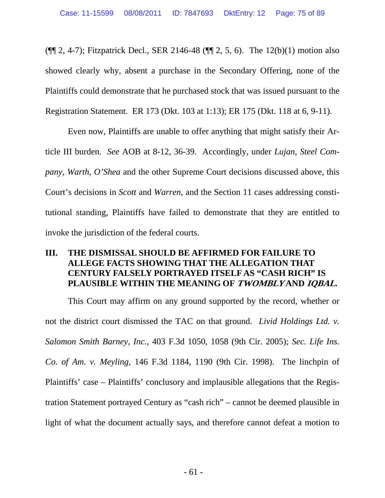(¶¶ 2, 4-7); Fitzpatrick Decl., SER 2146-48 (¶¶ 2, 5, 6). The 12(b)(1) motion also showed clearly why, absent a purchase in the Secondary Offering, none of the Plaintiffs could demonstrate that he purchased stock that was issued pursuant to the Registration Statement. ER 173 (Dkt. 103 at 1:13); ER 175 (Dkt. 118 at 6, 9-11).

Even now, Plaintiffs are unable to offer anything that might satisfy their Article III burden. *See* AOB at 8-12, 36-39. Accordingly, under *Lujan*, *Steel Company*, *Warth*, *O'Shea* and the other Supreme Court decisions discussed above, this Court's decisions in *Scott* and *Warren*, and the Section 11 cases addressing constitutional standing, Plaintiffs have failed to demonstrate that they are entitled to invoke the jurisdiction of the federal courts.

## **III. THE DISMISSAL SHOULD BE AFFIRMED FOR FAILURE TO ALLEGE FACTS SHOWING THAT THE ALLEGATION THAT CENTURY FALSELY PORTRAYED ITSELF AS "CASH RICH" IS PLAUSIBLE WITHIN THE MEANING OF TWOMBLY AND IQBAL.**

This Court may affirm on any ground supported by the record, whether or not the district court dismissed the TAC on that ground. *Livid Holdings Ltd. v. Salomon Smith Barney, Inc.,* 403 F.3d 1050, 1058 (9th Cir. 2005); *Sec. Life Ins. Co. of Am. v. Meyling,* 146 F.3d 1184, 1190 (9th Cir. 1998). The linchpin of Plaintiffs' case – Plaintiffs' conclusory and implausible allegations that the Registration Statement portrayed Century as "cash rich" – cannot be deemed plausible in light of what the document actually says, and therefore cannot defeat a motion to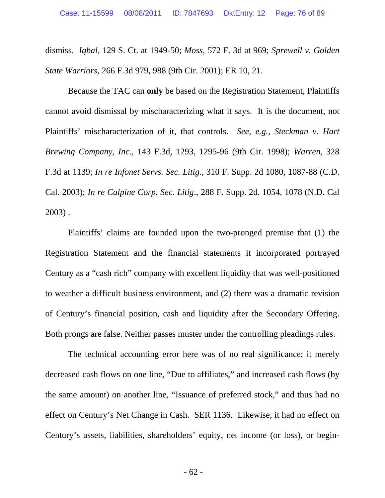dismiss. *Iqbal,* 129 S. Ct. at 1949-50; *Moss*, 572 F. 3d at 969; *Sprewell v. Golden State Warriors*, 266 F.3d 979, 988 (9th Cir. 2001); ER 10, 21.

Because the TAC can **only** be based on the Registration Statement, Plaintiffs cannot avoid dismissal by mischaracterizing what it says. It is the document, not Plaintiffs' mischaracterization of it, that controls. *See, e.g., Steckman v. Hart Brewing Company, Inc.*, 143 F.3d, 1293, 1295-96 (9th Cir. 1998); *Warren*, 328 F.3d at 1139; *In re Infonet Servs. Sec. Litig.,* 310 F. Supp. 2d 1080, 1087-88 (C.D. Cal. 2003); *In re Calpine Corp. Sec. Litig*., 288 F. Supp. 2d. 1054, 1078 (N.D. Cal 2003) .

Plaintiffs' claims are founded upon the two-pronged premise that (1) the Registration Statement and the financial statements it incorporated portrayed Century as a "cash rich" company with excellent liquidity that was well-positioned to weather a difficult business environment, and (2) there was a dramatic revision of Century's financial position, cash and liquidity after the Secondary Offering. Both prongs are false. Neither passes muster under the controlling pleadings rules.

The technical accounting error here was of no real significance; it merely decreased cash flows on one line, "Due to affiliates," and increased cash flows (by the same amount) on another line, "Issuance of preferred stock," and thus had no effect on Century's Net Change in Cash. SER 1136. Likewise, it had no effect on Century's assets, liabilities, shareholders' equity, net income (or loss), or begin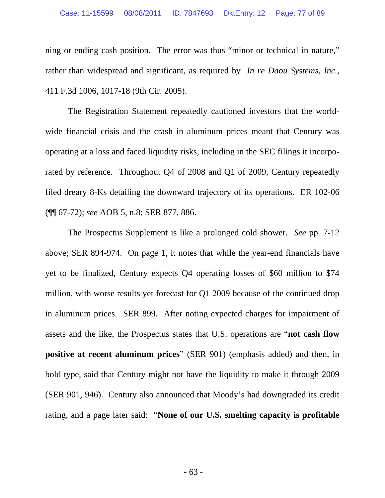ning or ending cash position. The error was thus "minor or technical in nature," rather than widespread and significant, as required by *In re Daou Systems, Inc.,* 411 F.3d 1006, 1017-18 (9th Cir. 2005).

The Registration Statement repeatedly cautioned investors that the worldwide financial crisis and the crash in aluminum prices meant that Century was operating at a loss and faced liquidity risks, including in the SEC filings it incorporated by reference. Throughout Q4 of 2008 and Q1 of 2009, Century repeatedly filed dreary 8-Ks detailing the downward trajectory of its operations. ER 102-06 (¶¶ 67-72); *see* AOB 5, n.8; SER 877, 886.

The Prospectus Supplement is like a prolonged cold shower. *See* pp. 7-12 above; SER 894-974. On page 1, it notes that while the year-end financials have yet to be finalized, Century expects Q4 operating losses of \$60 million to \$74 million, with worse results yet forecast for Q1 2009 because of the continued drop in aluminum prices. SER 899. After noting expected charges for impairment of assets and the like, the Prospectus states that U.S. operations are "**not cash flow positive at recent aluminum prices**" (SER 901) (emphasis added) and then, in bold type, said that Century might not have the liquidity to make it through 2009 (SER 901, 946). Century also announced that Moody's had downgraded its credit rating, and a page later said: "**None of our U.S. smelting capacity is profitable**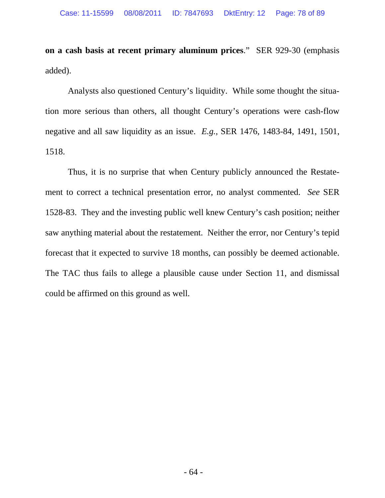**on a cash basis at recent primary aluminum prices**." SER 929-30 (emphasis added).

Analysts also questioned Century's liquidity. While some thought the situation more serious than others, all thought Century's operations were cash-flow negative and all saw liquidity as an issue. *E.g.,* SER 1476, 1483-84, 1491, 1501, 1518.

Thus, it is no surprise that when Century publicly announced the Restatement to correct a technical presentation error, no analyst commented. *See* SER 1528-83. They and the investing public well knew Century's cash position; neither saw anything material about the restatement. Neither the error, nor Century's tepid forecast that it expected to survive 18 months, can possibly be deemed actionable. The TAC thus fails to allege a plausible cause under Section 11, and dismissal could be affirmed on this ground as well.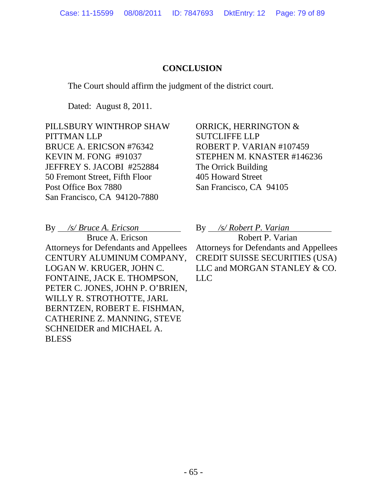## **CONCLUSION**

The Court should affirm the judgment of the district court.

Dated: August 8, 2011.

PILLSBURY WINTHROP SHAW PITTMAN LLP BRUCE A. ERICSON #76342 KEVIN M. FONG #91037 JEFFREY S. JACOBI #252884 50 Fremont Street, Fifth Floor Post Office Box 7880 San Francisco, CA 94120-7880

ORRICK, HERRINGTON & SUTCLIFFE LLP ROBERT P. VARIAN #107459 STEPHEN M. KNASTER #146236 The Orrick Building 405 Howard Street San Francisco, CA 94105

By */s/ Bruce A. Ericson*  Bruce A. Ericson Attorneys for Defendants and Appellees CENTURY ALUMINUM COMPANY, LOGAN W. KRUGER, JOHN C. FONTAINE, JACK E. THOMPSON, PETER C. JONES, JOHN P. O'BRIEN, WILLY R. STROTHOTTE, JARL BERNTZEN, ROBERT E. FISHMAN, CATHERINE Z. MANNING, STEVE SCHNEIDER and MICHAEL A. **BLESS** 

By */s/ Robert P. Varian* 

Robert P. Varian Attorneys for Defendants and Appellees CREDIT SUISSE SECURITIES (USA) LLC and MORGAN STANLEY & CO. LLC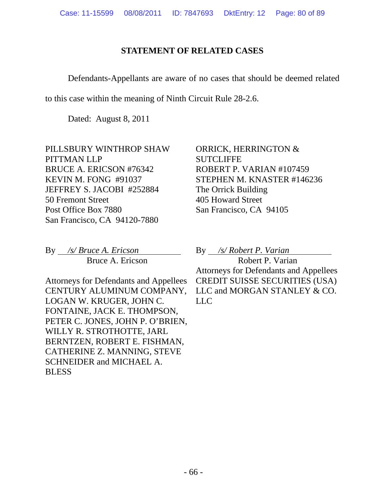# **STATEMENT OF RELATED CASES**

Defendants-Appellants are aware of no cases that should be deemed related

to this case within the meaning of Ninth Circuit Rule 28-2.6.

Dated: August 8, 2011

PILLSBURY WINTHROP SHAW PITTMAN LLP BRUCE A. ERICSON #76342 KEVIN M. FONG #91037 JEFFREY S. JACOBI #252884 50 Fremont Street Post Office Box 7880 San Francisco, CA 94120-7880

By */s/ Bruce A. Ericson*  Bruce A. Ericson

Attorneys for Defendants and Appellees CENTURY ALUMINUM COMPANY, LOGAN W. KRUGER, JOHN C. FONTAINE, JACK E. THOMPSON, PETER C. JONES, JOHN P. O'BRIEN, WILLY R. STROTHOTTE, JARL BERNTZEN, ROBERT E. FISHMAN, CATHERINE Z. MANNING, STEVE SCHNEIDER and MICHAEL A. **BLESS** 

ORRICK, HERRINGTON & **SUTCLIFFE** ROBERT P. VARIAN #107459 STEPHEN M. KNASTER #146236 The Orrick Building 405 Howard Street San Francisco, CA 94105

By */s/ Robert P. Varian* 

Robert P. Varian Attorneys for Defendants and Appellees CREDIT SUISSE SECURITIES (USA) LLC and MORGAN STANLEY & CO. LLC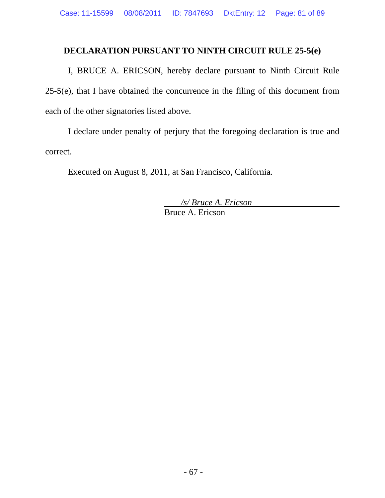## **DECLARATION PURSUANT TO NINTH CIRCUIT RULE 25-5(e)**

I, BRUCE A. ERICSON, hereby declare pursuant to Ninth Circuit Rule  $25-5(e)$ , that I have obtained the concurrence in the filing of this document from each of the other signatories listed above.

I declare under penalty of perjury that the foregoing declaration is true and correct.

Executed on August 8, 2011, at San Francisco, California.

*/s/ Bruce A. Ericson*  Bruce A. Ericson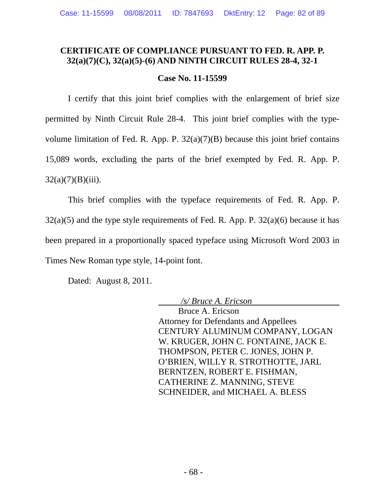## **CERTIFICATE OF COMPLIANCE PURSUANT TO FED. R. APP. P. 32(a)(7)(C), 32(a)(5)-(6) AND NINTH CIRCUIT RULES 28-4, 32-1**

### **Case No. 11-15599**

I certify that this joint brief complies with the enlargement of brief size permitted by Ninth Circuit Rule 28-4. This joint brief complies with the typevolume limitation of Fed. R. App. P.  $32(a)(7)(B)$  because this joint brief contains 15,089 words, excluding the parts of the brief exempted by Fed. R. App. P.  $32(a)(7)(B)(iii)$ .

This brief complies with the typeface requirements of Fed. R. App. P.  $32(a)(5)$  and the type style requirements of Fed. R. App. P.  $32(a)(6)$  because it has been prepared in a proportionally spaced typeface using Microsoft Word 2003 in Times New Roman type style, 14-point font.

Dated: August 8, 2011.

 */s/ Bruce A. Ericson* 

Bruce A. Ericson Attorney for Defendants and Appellees CENTURY ALUMINUM COMPANY, LOGAN W. KRUGER, JOHN C. FONTAINE, JACK E. THOMPSON, PETER C. JONES, JOHN P. O'BRIEN, WILLY R. STROTHOTTE, JARL BERNTZEN, ROBERT E. FISHMAN, CATHERINE Z. MANNING, STEVE SCHNEIDER, and MICHAEL A. BLESS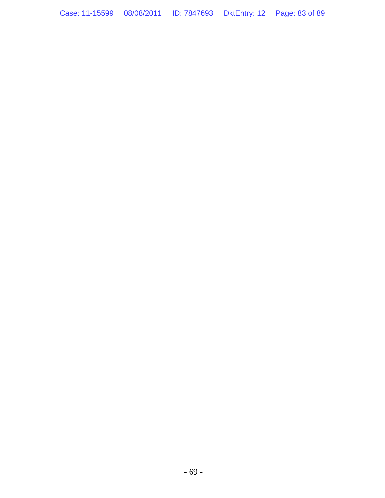Case: 11-15599 08/08/2011 ID: 7847693 DktEntry: 12 Page: 83 of 89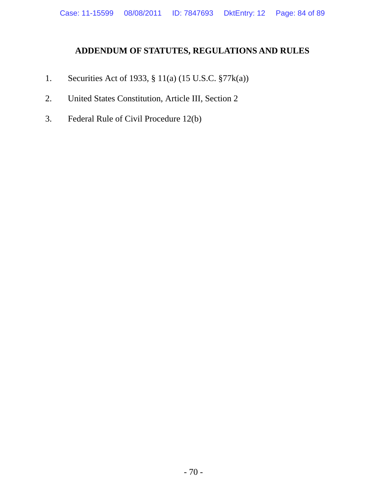# **ADDENDUM OF STATUTES, REGULATIONS AND RULES**

- 1. Securities Act of 1933, § 11(a) (15 U.S.C. §77k(a))
- 2. United States Constitution, Article III, Section 2
- 3. Federal Rule of Civil Procedure 12(b)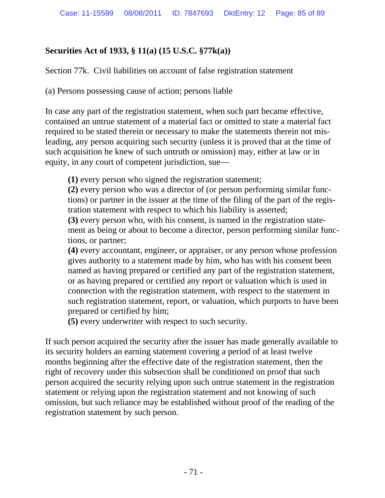# **Securities Act of 1933, § 11(a) (15 U.S.C. §77k(a))**

Section 77k. Civil liabilities on account of false registration statement

(a) Persons possessing cause of action; persons liable

In case any part of the registration statement, when such part became effective, contained an untrue statement of a material fact or omitted to state a material fact required to be stated therein or necessary to make the statements therein not misleading, any person acquiring such security (unless it is proved that at the time of such acquisition he knew of such untruth or omission) may, either at law or in equity, in any court of competent jurisdiction, sue—

**(1)** every person who signed the registration statement;

**(2)** every person who was a director of (or person performing similar functions) or partner in the issuer at the time of the filing of the part of the registration statement with respect to which his liability is asserted;

**(3)** every person who, with his consent, is named in the registration statement as being or about to become a director, person performing similar functions, or partner;

**(4)** every accountant, engineer, or appraiser, or any person whose profession gives authority to a statement made by him, who has with his consent been named as having prepared or certified any part of the registration statement, or as having prepared or certified any report or valuation which is used in connection with the registration statement, with respect to the statement in such registration statement, report, or valuation, which purports to have been prepared or certified by him;

**(5)** every underwriter with respect to such security.

If such person acquired the security after the issuer has made generally available to its security holders an earning statement covering a period of at least twelve months beginning after the effective date of the registration statement, then the right of recovery under this subsection shall be conditioned on proof that such person acquired the security relying upon such untrue statement in the registration statement or relying upon the registration statement and not knowing of such omission, but such reliance may be established without proof of the reading of the registration statement by such person.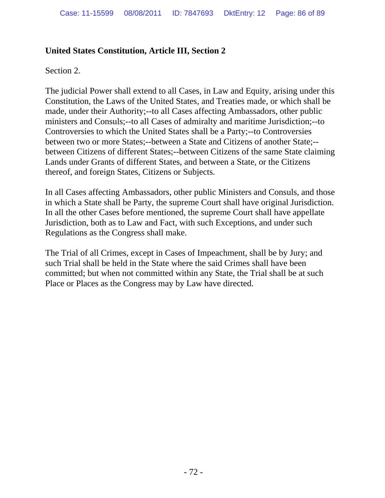# **United States Constitution, Article III, Section 2**

## Section 2.

The judicial Power shall extend to all Cases, in Law and Equity, arising under this Constitution, the Laws of the United States, and Treaties made, or which shall be made, under their Authority;--to all Cases affecting Ambassadors, other public ministers and Consuls;--to all Cases of admiralty and maritime Jurisdiction;--to Controversies to which the United States shall be a Party;--to Controversies between two or more States;--between a State and Citizens of another State;- between Citizens of different States;--between Citizens of the same State claiming Lands under Grants of different States, and between a State, or the Citizens thereof, and foreign States, Citizens or Subjects.

In all Cases affecting Ambassadors, other public Ministers and Consuls, and those in which a State shall be Party, the supreme Court shall have original Jurisdiction. In all the other Cases before mentioned, the supreme Court shall have appellate Jurisdiction, both as to Law and Fact, with such Exceptions, and under such Regulations as the Congress shall make.

The Trial of all Crimes, except in Cases of Impeachment, shall be by Jury; and such Trial shall be held in the State where the said Crimes shall have been committed; but when not committed within any State, the Trial shall be at such Place or Places as the Congress may by Law have directed.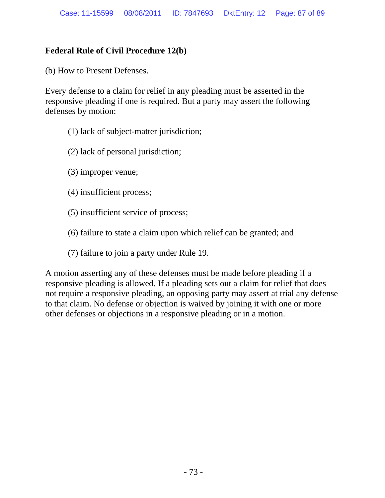# **Federal Rule of Civil Procedure 12(b)**

(b) How to Present Defenses.

Every defense to a claim for relief in any pleading must be asserted in the responsive pleading if one is required. But a party may assert the following defenses by motion:

- (1) lack of subject-matter jurisdiction;
- (2) lack of personal jurisdiction;
- (3) improper venue;
- (4) insufficient process;
- (5) insufficient service of process;
- (6) failure to state a claim upon which relief can be granted; and
- (7) failure to join a party under Rule 19.

A motion asserting any of these defenses must be made before pleading if a responsive pleading is allowed. If a pleading sets out a claim for relief that does not require a responsive pleading, an opposing party may assert at trial any defense to that claim. No defense or objection is waived by joining it with one or more other defenses or objections in a responsive pleading or in a motion.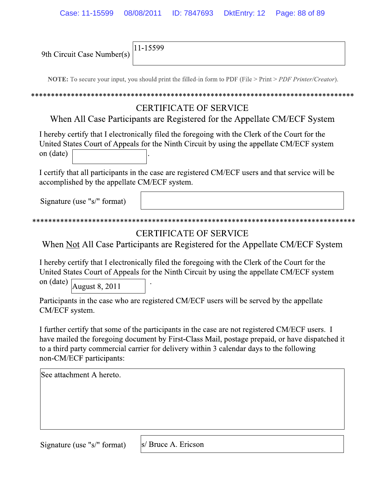| 9th Circuit Case Number(s) $\vert$ | $ 11 - 15599 $ |
|------------------------------------|----------------|
|                                    |                |

**NOTE:** To secure your input, you should print the filled-in form to PDF (File > Print > PDF Printer/Creator).

#### 

# **CERTIFICATE OF SERVICE**

When All Case Participants are Registered for the Appellate CM/ECF System

I hereby certify that I electronically filed the foregoing with the Clerk of the Court for the United States Court of Appeals for the Ninth Circuit by using the appellate CM/ECF system on (date)

I certify that all participants in the case are registered CM/ECF users and that service will be accomplished by the appellate CM/ECF system.

Signature (use "s/" format)

### **CERTIFICATE OF SERVICE**

When Not All Case Participants are Registered for the Appellate CM/ECF System

I hereby certify that I electronically filed the foregoing with the Clerk of the Court for the United States Court of Appeals for the Ninth Circuit by using the appellate CM/ECF system

on (date) August 8, 2011

Participants in the case who are registered CM/ECF users will be served by the appellate CM/ECF system.

I further certify that some of the participants in the case are not registered CM/ECF users. I have mailed the foregoing document by First-Class Mail, postage prepaid, or have dispatched it to a third party commercial carrier for delivery within 3 calendar days to the following non-CM/ECF participants:

| See attachment A hereto. |  |  |
|--------------------------|--|--|
|                          |  |  |
|                          |  |  |
|                          |  |  |

Signature (use "s/" format)

 $|s|$  Bruce A. Ericson